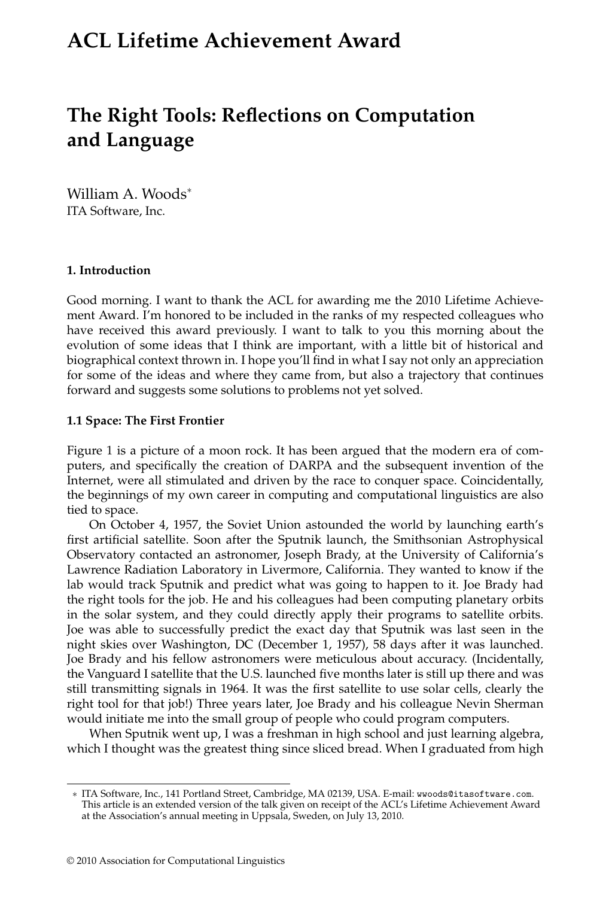# **ACL Lifetime Achievement Award**

# **The Right Tools: Reflections on Computation and Language**

William A. Woods<sup>∗</sup> ITA Software, Inc.

#### **1. Introduction**

Good morning. I want to thank the ACL for awarding me the 2010 Lifetime Achievement Award. I'm honored to be included in the ranks of my respected colleagues who have received this award previously. I want to talk to you this morning about the evolution of some ideas that I think are important, with a little bit of historical and biographical context thrown in. I hope you'll find in what I say not only an appreciation for some of the ideas and where they came from, but also a trajectory that continues forward and suggests some solutions to problems not yet solved.

#### **1.1 Space: The First Frontier**

Figure 1 is a picture of a moon rock. It has been argued that the modern era of computers, and specifically the creation of DARPA and the subsequent invention of the Internet, were all stimulated and driven by the race to conquer space. Coincidentally, the beginnings of my own career in computing and computational linguistics are also tied to space.

On October 4, 1957, the Soviet Union astounded the world by launching earth's first artificial satellite. Soon after the Sputnik launch, the Smithsonian Astrophysical Observatory contacted an astronomer, Joseph Brady, at the University of California's Lawrence Radiation Laboratory in Livermore, California. They wanted to know if the lab would track Sputnik and predict what was going to happen to it. Joe Brady had the right tools for the job. He and his colleagues had been computing planetary orbits in the solar system, and they could directly apply their programs to satellite orbits. Joe was able to successfully predict the exact day that Sputnik was last seen in the night skies over Washington, DC (December 1, 1957), 58 days after it was launched. Joe Brady and his fellow astronomers were meticulous about accuracy. (Incidentally, the Vanguard I satellite that the U.S. launched five months later is still up there and was still transmitting signals in 1964. It was the first satellite to use solar cells, clearly the right tool for that job!) Three years later, Joe Brady and his colleague Nevin Sherman would initiate me into the small group of people who could program computers.

When Sputnik went up, I was a freshman in high school and just learning algebra, which I thought was the greatest thing since sliced bread. When I graduated from high

<sup>∗</sup> ITA Software, Inc., 141 Portland Street, Cambridge, MA 02139, USA. E-mail: wwoods@itasoftware.com. This article is an extended version of the talk given on receipt of the ACL's Lifetime Achievement Award at the Association's annual meeting in Uppsala, Sweden, on July 13, 2010.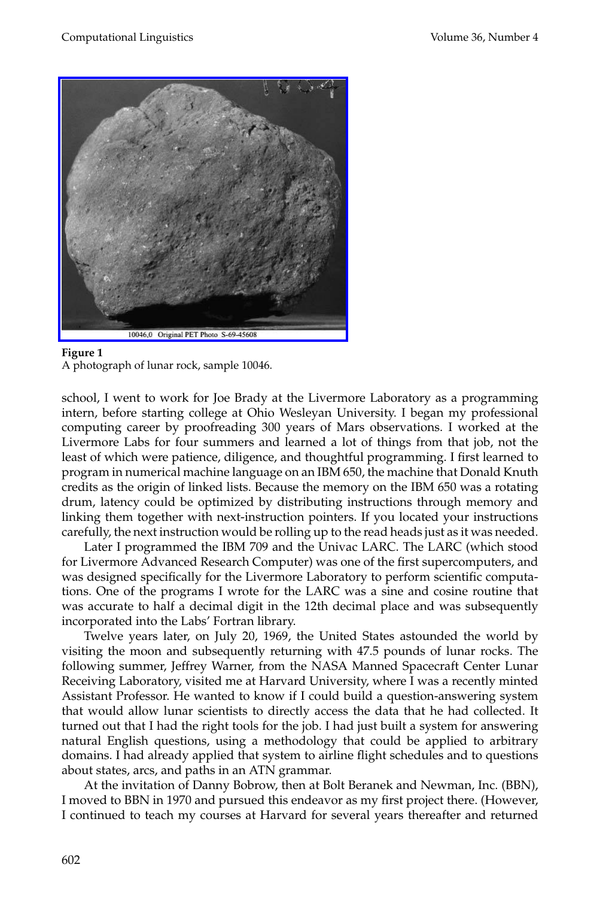

#### **Figure 1**

A photograph of lunar rock, sample 10046.

school, I went to work for Joe Brady at the Livermore Laboratory as a programming intern, before starting college at Ohio Wesleyan University. I began my professional computing career by proofreading 300 years of Mars observations. I worked at the Livermore Labs for four summers and learned a lot of things from that job, not the least of which were patience, diligence, and thoughtful programming. I first learned to program in numerical machine language on an IBM 650, the machine that Donald Knuth credits as the origin of linked lists. Because the memory on the IBM 650 was a rotating drum, latency could be optimized by distributing instructions through memory and linking them together with next-instruction pointers. If you located your instructions carefully, the next instruction would be rolling up to the read heads just as it was needed.

Later I programmed the IBM 709 and the Univac LARC. The LARC (which stood for Livermore Advanced Research Computer) was one of the first supercomputers, and was designed specifically for the Livermore Laboratory to perform scientific computations. One of the programs I wrote for the LARC was a sine and cosine routine that was accurate to half a decimal digit in the 12th decimal place and was subsequently incorporated into the Labs' Fortran library.

Twelve years later, on July 20, 1969, the United States astounded the world by visiting the moon and subsequently returning with 47.5 pounds of lunar rocks. The following summer, Jeffrey Warner, from the NASA Manned Spacecraft Center Lunar Receiving Laboratory, visited me at Harvard University, where I was a recently minted Assistant Professor. He wanted to know if I could build a question-answering system that would allow lunar scientists to directly access the data that he had collected. It turned out that I had the right tools for the job. I had just built a system for answering natural English questions, using a methodology that could be applied to arbitrary domains. I had already applied that system to airline flight schedules and to questions about states, arcs, and paths in an ATN grammar.

At the invitation of Danny Bobrow, then at Bolt Beranek and Newman, Inc. (BBN), I moved to BBN in 1970 and pursued this endeavor as my first project there. (However, I continued to teach my courses at Harvard for several years thereafter and returned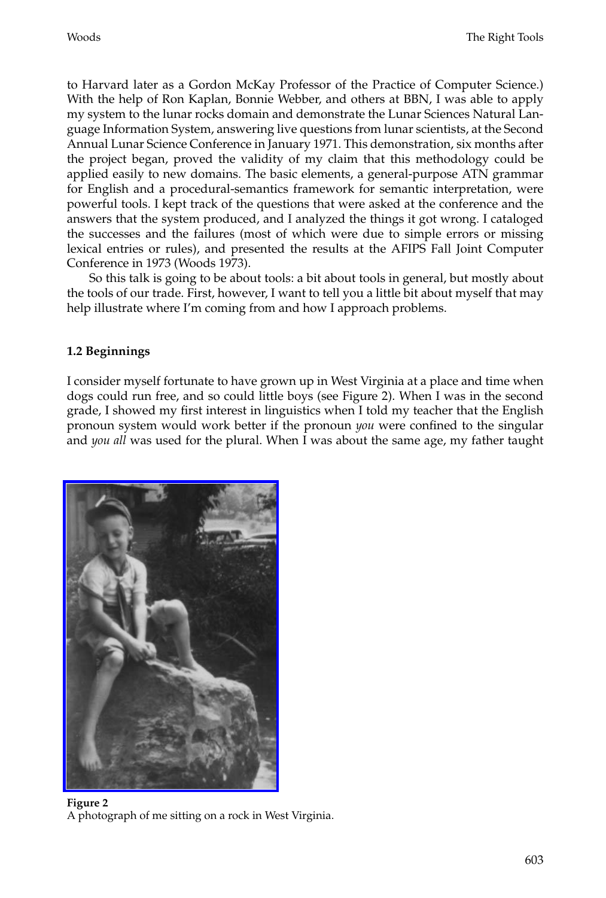to Harvard later as a Gordon McKay Professor of the Practice of Computer Science.) With the help of Ron Kaplan, Bonnie Webber, and others at BBN, I was able to apply my system to the lunar rocks domain and demonstrate the Lunar Sciences Natural Language Information System, answering live questions from lunar scientists, at the Second Annual Lunar Science Conference in January 1971. This demonstration, six months after the project began, proved the validity of my claim that this methodology could be applied easily to new domains. The basic elements, a general-purpose ATN grammar for English and a procedural-semantics framework for semantic interpretation, were powerful tools. I kept track of the questions that were asked at the conference and the answers that the system produced, and I analyzed the things it got wrong. I cataloged the successes and the failures (most of which were due to simple errors or missing lexical entries or rules), and presented the results at the AFIPS Fall Joint Computer Conference in 1973 (Woods 1973).

So this talk is going to be about tools: a bit about tools in general, but mostly about the tools of our trade. First, however, I want to tell you a little bit about myself that may help illustrate where I'm coming from and how I approach problems.

#### **1.2Beginnings**

I consider myself fortunate to have grown up in West Virginia at a place and time when dogs could run free, and so could little boys (see Figure 2). When I was in the second [grade, I showed my first interest in lin](http://www.mitpressjournals.org/action/showImage?doi=10.1162/coli_a_00018&iName=master.img-001.jpg&w=167&h=244)guistics when I told my teacher that the English pronoun system would work better if the pronoun *you* were confined to the singular and *you all* was used for the plural. When I was about the same age, my father taught



**Figure 2** A photograph of me sitting on a rock in West Virginia.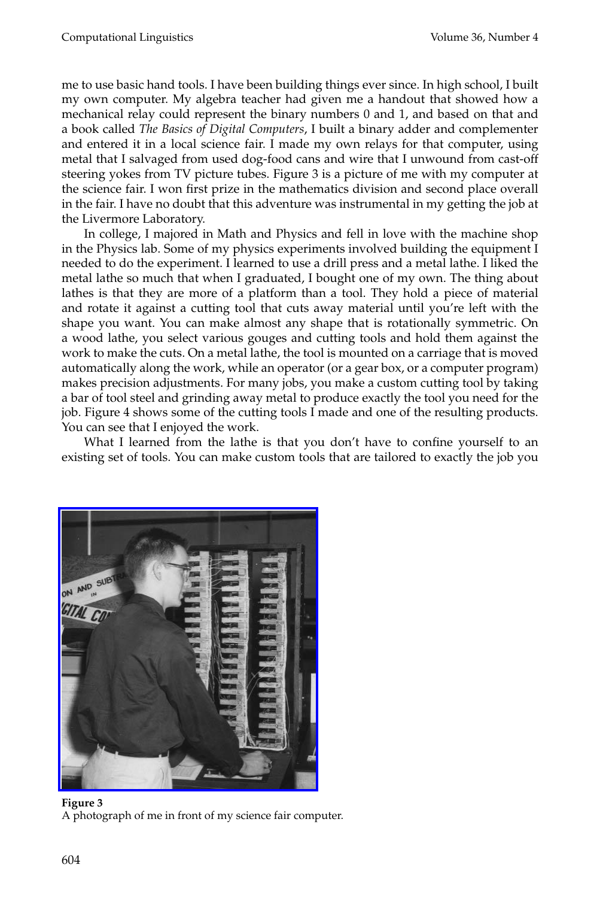me to use basic hand tools. I have been building things ever since. In high school, I built my own computer. My algebra teacher had given me a handout that showed how a mechanical relay could represent the binary numbers 0 and 1, and based on that and a book called *The Basics of Digital Computers*, I built a binary adder and complementer and entered it in a local science fair. I made my own relays for that computer, using metal that I salvaged from used dog-food cans and wire that I unwound from cast-off steering yokes from TV picture tubes. Figure 3 is a picture of me with my computer at the science fair. I won first prize in the mathematics division and second place overall in the fair. I have no doubt that this adventure was instrumental in my getting the job at the Livermore Laboratory.

In college, I majored in Math and Physics and fell in love with the machine shop in the Physics lab. Some of my physics experiments involved building the equipment I needed to do the experiment. I learned to use a drill press and a metal lathe. I liked the metal lathe so much that when I graduated, I bought one of my own. The thing about lathes is that they are more of a platform than a tool. They hold a piece of material and rotate it against a cutting tool that cuts away material until you're left with the shape you want. You can make almost any shape that is rotationally symmetric. On a wood lathe, you select various gouges and cutting tools and hold them against the work to make the cuts. On a metal lathe, the tool is mounted on a carriage that is moved automatically along the work, while an operator (or a gear box, or a computer program) makes precision adjustments. For many jobs, you make a custom cutting tool by taking a bar of tool steel and grinding away metal to produce exactly the tool you need for the job. Figure 4 shows some of the cutting tools I made and one of the resulting products. You can see that I enjoyed the work.

What I learned from the lathe is that you don't have to confine yourself to an [existing set of tools. You can make custom too](http://www.mitpressjournals.org/action/showImage?doi=10.1162/coli_a_00018&iName=master.img-002.jpg&w=203&h=222)ls that are tailored to exactly the job you



A photograph of me in front of my science fair computer.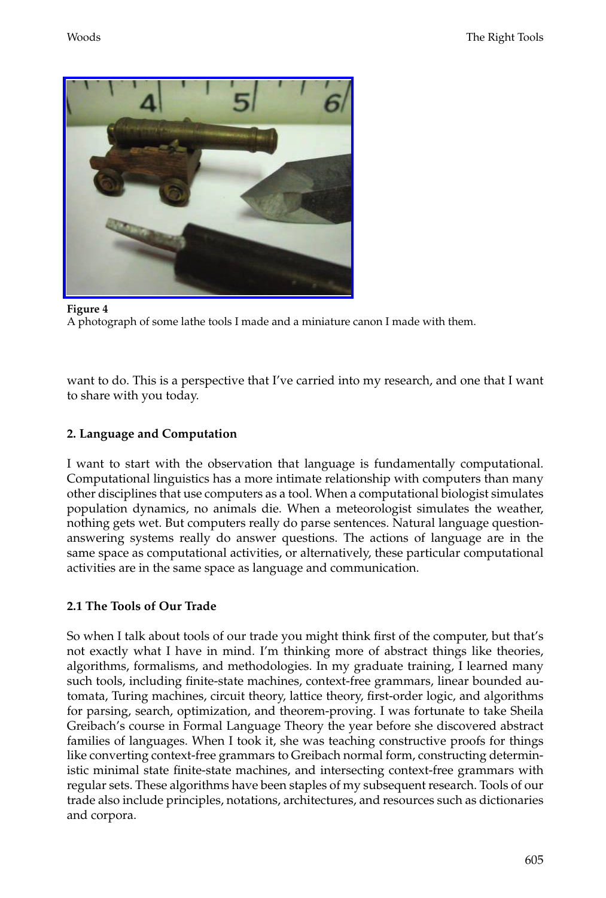[Woods](http://www.mitpressjournals.org/action/showImage?doi=10.1162/coli_a_00018&iName=master.img-003.jpg&w=227&h=172) The Right Tools



**Figure 4** A photograph of some lathe tools I made and a miniature canon I made with them.

want to do. This is a perspective that I've carried into my research, and one that I want to share with you today.

## **2. Language and Computation**

I want to start with the observation that language is fundamentally computational. Computational linguistics has a more intimate relationship with computers than many other disciplines that use computers as a tool. When a computational biologist simulates population dynamics, no animals die. When a meteorologist simulates the weather, nothing gets wet. But computers really do parse sentences. Natural language questionanswering systems really do answer questions. The actions of language are in the same space as computational activities, or alternatively, these particular computational activities are in the same space as language and communication.

# **2.1 The Tools of Our Trade**

So when I talk about tools of our trade you might think first of the computer, but that's not exactly what I have in mind. I'm thinking more of abstract things like theories, algorithms, formalisms, and methodologies. In my graduate training, I learned many such tools, including finite-state machines, context-free grammars, linear bounded automata, Turing machines, circuit theory, lattice theory, first-order logic, and algorithms for parsing, search, optimization, and theorem-proving. I was fortunate to take Sheila Greibach's course in Formal Language Theory the year before she discovered abstract families of languages. When I took it, she was teaching constructive proofs for things like converting context-free grammars to Greibach normal form, constructing deterministic minimal state finite-state machines, and intersecting context-free grammars with regular sets. These algorithms have been staples of my subsequent research. Tools of our trade also include principles, notations, architectures, and resources such as dictionaries and corpora.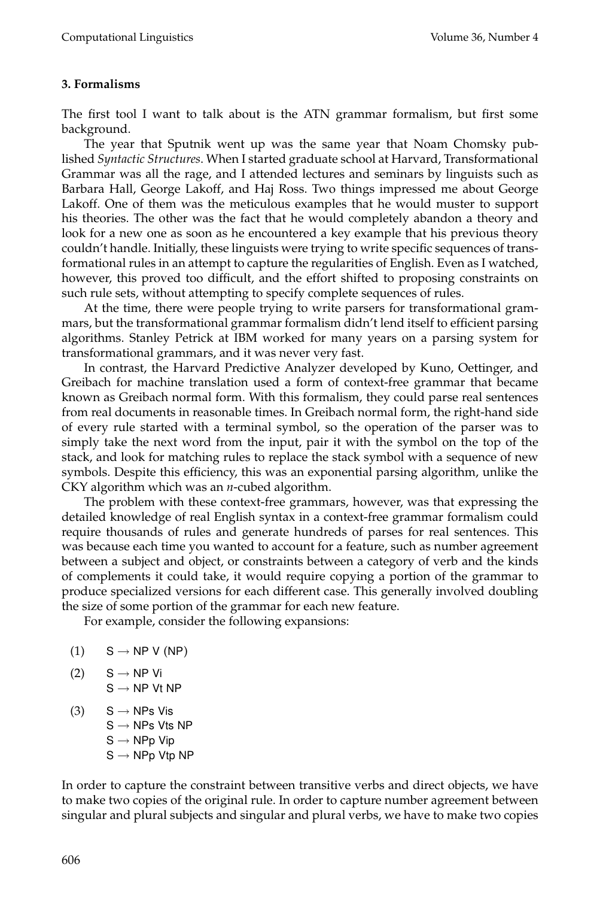## **3. Formalisms**

The first tool I want to talk about is the ATN grammar formalism, but first some background.

The year that Sputnik went up was the same year that Noam Chomsky published *Syntactic Structures*. When I started graduate school at Harvard, Transformational Grammar was all the rage, and I attended lectures and seminars by linguists such as Barbara Hall, George Lakoff, and Haj Ross. Two things impressed me about George Lakoff. One of them was the meticulous examples that he would muster to support his theories. The other was the fact that he would completely abandon a theory and look for a new one as soon as he encountered a key example that his previous theory couldn't handle. Initially, these linguists were trying to write specific sequences of transformational rules in an attempt to capture the regularities of English. Even as I watched, however, this proved too difficult, and the effort shifted to proposing constraints on such rule sets, without attempting to specify complete sequences of rules.

At the time, there were people trying to write parsers for transformational grammars, but the transformational grammar formalism didn't lend itself to efficient parsing algorithms. Stanley Petrick at IBM worked for many years on a parsing system for transformational grammars, and it was never very fast.

In contrast, the Harvard Predictive Analyzer developed by Kuno, Oettinger, and Greibach for machine translation used a form of context-free grammar that became known as Greibach normal form. With this formalism, they could parse real sentences from real documents in reasonable times. In Greibach normal form, the right-hand side of every rule started with a terminal symbol, so the operation of the parser was to simply take the next word from the input, pair it with the symbol on the top of the stack, and look for matching rules to replace the stack symbol with a sequence of new symbols. Despite this efficiency, this was an exponential parsing algorithm, unlike the CKY algorithm which was an *n*-cubed algorithm.

The problem with these context-free grammars, however, was that expressing the detailed knowledge of real English syntax in a context-free grammar formalism could require thousands of rules and generate hundreds of parses for real sentences. This was because each time you wanted to account for a feature, such as number agreement between a subject and object, or constraints between a category of verb and the kinds of complements it could take, it would require copying a portion of the grammar to produce specialized versions for each different case. This generally involved doubling the size of some portion of the grammar for each new feature.

For example, consider the following expansions:

- $(1)$  S  $\rightarrow$  NP V (NP)
- (2)  $S \rightarrow NP$  Vi  $S \rightarrow NP$  Vt NP
- (3)  $S \rightarrow NPs$  Vis  $S \rightarrow NPs$  Vts NP  $S \rightarrow NPp$  Vip  $S \rightarrow NPp$  Vtp NP

In order to capture the constraint between transitive verbs and direct objects, we have to make two copies of the original rule. In order to capture number agreement between singular and plural subjects and singular and plural verbs, we have to make two copies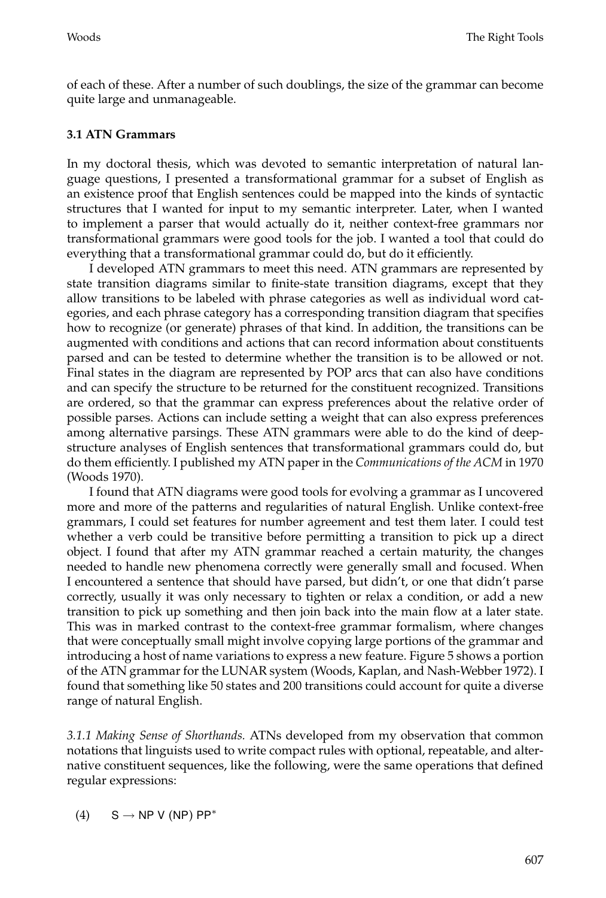of each of these. After a number of such doublings, the size of the grammar can become quite large and unmanageable.

#### **3.1 ATN Grammars**

In my doctoral thesis, which was devoted to semantic interpretation of natural language questions, I presented a transformational grammar for a subset of English as an existence proof that English sentences could be mapped into the kinds of syntactic structures that I wanted for input to my semantic interpreter. Later, when I wanted to implement a parser that would actually do it, neither context-free grammars nor transformational grammars were good tools for the job. I wanted a tool that could do everything that a transformational grammar could do, but do it efficiently.

I developed ATN grammars to meet this need. ATN grammars are represented by state transition diagrams similar to finite-state transition diagrams, except that they allow transitions to be labeled with phrase categories as well as individual word categories, and each phrase category has a corresponding transition diagram that specifies how to recognize (or generate) phrases of that kind. In addition, the transitions can be augmented with conditions and actions that can record information about constituents parsed and can be tested to determine whether the transition is to be allowed or not. Final states in the diagram are represented by POP arcs that can also have conditions and can specify the structure to be returned for the constituent recognized. Transitions are ordered, so that the grammar can express preferences about the relative order of possible parses. Actions can include setting a weight that can also express preferences among alternative parsings. These ATN grammars were able to do the kind of deepstructure analyses of English sentences that transformational grammars could do, but do them efficiently. I published my ATN paper in the *Communications of the ACM* in 1970 (Woods 1970).

I found that ATN diagrams were good tools for evolving a grammar as I uncovered more and more of the patterns and regularities of natural English. Unlike context-free grammars, I could set features for number agreement and test them later. I could test whether a verb could be transitive before permitting a transition to pick up a direct object. I found that after my ATN grammar reached a certain maturity, the changes needed to handle new phenomena correctly were generally small and focused. When I encountered a sentence that should have parsed, but didn't, or one that didn't parse correctly, usually it was only necessary to tighten or relax a condition, or add a new transition to pick up something and then join back into the main flow at a later state. This was in marked contrast to the context-free grammar formalism, where changes that were conceptually small might involve copying large portions of the grammar and introducing a host of name variations to express a new feature. Figure 5 shows a portion of the ATN grammar for the LUNAR system (Woods, Kaplan, and Nash-Webber 1972). I found that something like 50 states and 200 transitions could account for quite a diverse range of natural English.

*3.1.1 Making Sense of Shorthands.* ATNs developed from my observation that common notations that linguists used to write compact rules with optional, repeatable, and alternative constituent sequences, like the following, were the same operations that defined regular expressions:

(4)  $S \rightarrow NP V (NP) PP^*$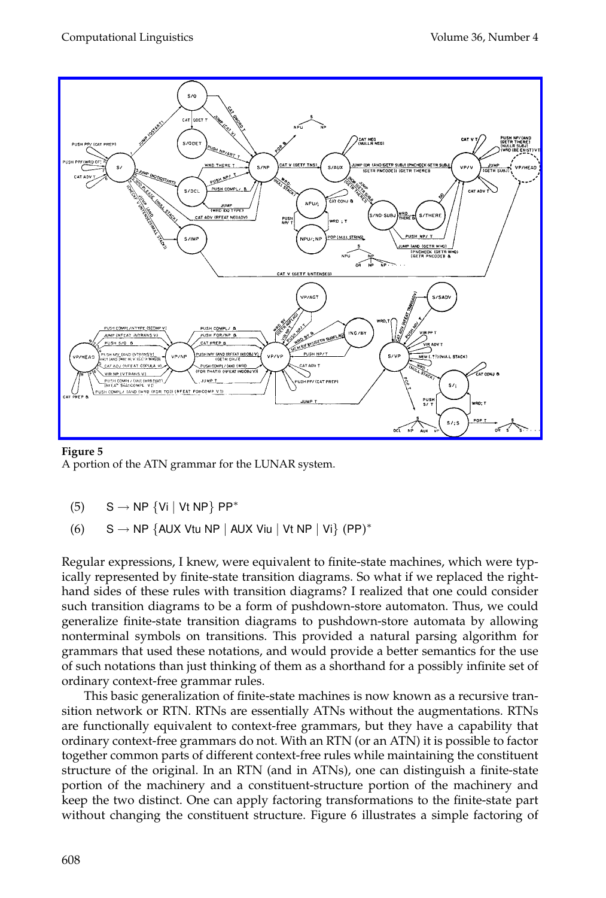

**Figure 5** A portion of the ATN grammar for the LUNAR system.

- (5)  $S \rightarrow NP \{Vi \mid Vt \ NP\} \ PP^*$
- (6)  $S \rightarrow NP$  {AUX Vtu NP | AUX Viu | Vt NP | Vi} (PP)\*

Regular expressions, I knew, were equivalent to finite-state machines, which were typically represented by finite-state transition diagrams. So what if we replaced the righthand sides of these rules with transition diagrams? I realized that one could consider such transition diagrams to be a form of pushdown-store automaton. Thus, we could generalize finite-state transition diagrams to pushdown-store automata by allowing nonterminal symbols on transitions. This provided a natural parsing algorithm for grammars that used these notations, and would provide a better semantics for the use of such notations than just thinking of them as a shorthand for a possibly infinite set of ordinary context-free grammar rules.

This basic generalization of finite-state machines is now known as a recursive transition network or RTN. RTNs are essentially ATNs without the augmentations. RTNs are functionally equivalent to context-free grammars, but they have a capability that ordinary context-free grammars do not. With an RTN (or an ATN) it is possible to factor together common parts of different context-free rules while maintaining the constituent structure of the original. In an RTN (and in ATNs), one can distinguish a finite-state portion of the machinery and a constituent-structure portion of the machinery and keep the two distinct. One can apply factoring transformations to the finite-state part without changing the constituent structure. Figure 6 illustrates a simple factoring of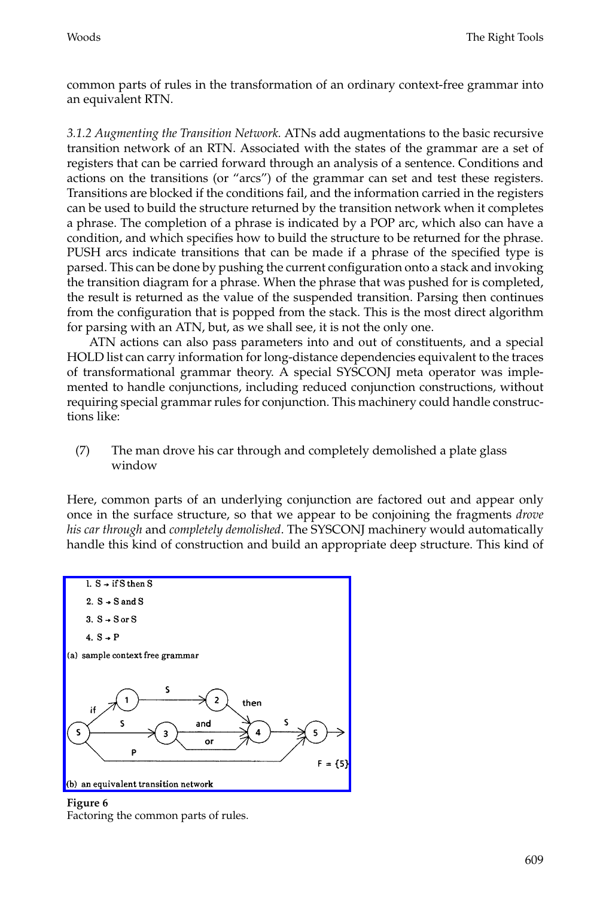common parts of rules in the transformation of an ordinary context-free grammar into an equivalent RTN.

*3.1.2 Augmenting the Transition Network.* ATNs add augmentations to the basic recursive transition network of an RTN. Associated with the states of the grammar are a set of registers that can be carried forward through an analysis of a sentence. Conditions and actions on the transitions (or "arcs") of the grammar can set and test these registers. Transitions are blocked if the conditions fail, and the information carried in the registers can be used to build the structure returned by the transition network when it completes a phrase. The completion of a phrase is indicated by a POP arc, which also can have a condition, and which specifies how to build the structure to be returned for the phrase. PUSH arcs indicate transitions that can be made if a phrase of the specified type is parsed. This can be done by pushing the current configuration onto a stack and invoking the transition diagram for a phrase. When the phrase that was pushed for is completed, the result is returned as the value of the suspended transition. Parsing then continues from the configuration that is popped from the stack. This is the most direct algorithm for parsing with an ATN, but, as we shall see, it is not the only one.

ATN actions can also pass parameters into and out of constituents, and a special HOLD list can carry information for long-distance dependencies equivalent to the traces of transformational grammar theory. A special SYSCONJ meta operator was implemented to handle conjunctions, including reduced conjunction constructions, without requiring special grammar rules for conjunction. This machinery could handle constructions like:

(7) The man drove his car through and completely demolished a plate glass window

[Here, common parts of an underlying conjunction](http://www.mitpressjournals.org/action/showImage?doi=10.1162/coli_a_00018&iName=master.img-005.png&w=225&h=167) are factored out and appear only once in the surface structure, so that we appear to be conjoining the fragments *drove his car through* and *completely demolished*. The SYSCONJ machinery would automatically handle this kind of construction and build an appropriate deep structure. This kind of



**Figure 6** Factoring the common parts of rules.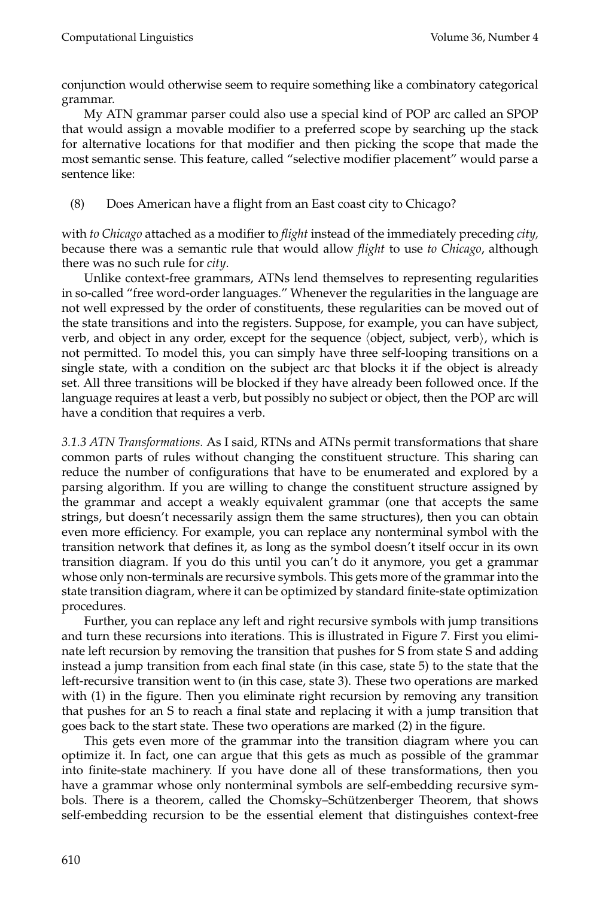conjunction would otherwise seem to require something like a combinatory categorical grammar.

My ATN grammar parser could also use a special kind of POP arc called an SPOP that would assign a movable modifier to a preferred scope by searching up the stack for alternative locations for that modifier and then picking the scope that made the most semantic sense. This feature, called "selective modifier placement" would parse a sentence like:

(8) Does American have a flight from an East coast city to Chicago?

with *to Chicago* attached as a modifier to *flight* instead of the immediately preceding *city,* because there was a semantic rule that would allow *flight* to use *to Chicago*, although there was no such rule for *city*.

Unlike context-free grammars, ATNs lend themselves to representing regularities in so-called "free word-order languages." Whenever the regularities in the language are not well expressed by the order of constituents, these regularities can be moved out of the state transitions and into the registers. Suppose, for example, you can have subject, verb, and object in any order, except for the sequence  $\langle$  object, subject, verb $\rangle$ , which is not permitted. To model this, you can simply have three self-looping transitions on a single state, with a condition on the subject arc that blocks it if the object is already set. All three transitions will be blocked if they have already been followed once. If the language requires at least a verb, but possibly no subject or object, then the POP arc will have a condition that requires a verb.

*3.1.3 ATN Transformations.* As I said, RTNs and ATNs permit transformations that share common parts of rules without changing the constituent structure. This sharing can reduce the number of configurations that have to be enumerated and explored by a parsing algorithm. If you are willing to change the constituent structure assigned by the grammar and accept a weakly equivalent grammar (one that accepts the same strings, but doesn't necessarily assign them the same structures), then you can obtain even more efficiency. For example, you can replace any nonterminal symbol with the transition network that defines it, as long as the symbol doesn't itself occur in its own transition diagram. If you do this until you can't do it anymore, you get a grammar whose only non-terminals are recursive symbols. This gets more of the grammar into the state transition diagram, where it can be optimized by standard finite-state optimization procedures.

Further, you can replace any left and right recursive symbols with jump transitions and turn these recursions into iterations. This is illustrated in Figure 7. First you eliminate left recursion by removing the transition that pushes for S from state S and adding instead a jump transition from each final state (in this case, state 5) to the state that the left-recursive transition went to (in this case, state 3). These two operations are marked with (1) in the figure. Then you eliminate right recursion by removing any transition that pushes for an S to reach a final state and replacing it with a jump transition that goes back to the start state. These two operations are marked (2) in the figure.

This gets even more of the grammar into the transition diagram where you can optimize it. In fact, one can argue that this gets as much as possible of the grammar into finite-state machinery. If you have done all of these transformations, then you have a grammar whose only nonterminal symbols are self-embedding recursive symbols. There is a theorem, called the Chomsky-Schützenberger Theorem, that shows self-embedding recursion to be the essential element that distinguishes context-free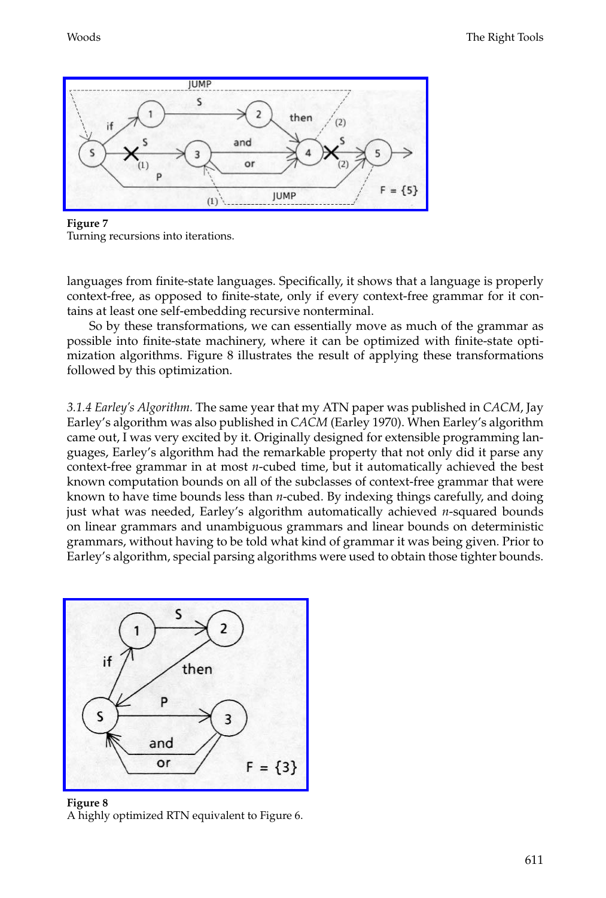[Woods](http://www.mitpressjournals.org/action/showImage?doi=10.1162/coli_a_00018&iName=master.img-006.jpg&w=287&h=102) The Right Tools



**Figure 7** Turning recursions into iterations.

languages from finite-state languages. Specifically, it shows that a language is properly context-free, as opposed to finite-state, only if every context-free grammar for it contains at least one self-embedding recursive nonterminal.

So by these transformations, we can essentially move as much of the grammar as possible into finite-state machinery, where it can be optimized with finite-state optimization algorithms. Figure 8 illustrates the result of applying these transformations followed by this optimization.

*3.1.4 Earley's Algorithm.* The same year that my ATN paper was published in *CACM*, Jay Earley's algorithm was also published in *CACM* (Earley 1970). When Earley's algorithm came out, I was very excited by it. Originally designed for extensible programming languages, Earley's algorithm had the remarkable property that not only did it parse any context-free grammar in at most *n*-cubed time, but it automatically achieved the best known computation bounds on all of the subclasses of context-free grammar that were known to have time bounds less than *n*-cubed. By indexing things carefully, and doing just what was needed, Earley's algorithm automatically achieved *n*-squared bounds on linear grammars and unambiguous grammars and linear bounds on deterministic [grammars, without having to be told what k](http://www.mitpressjournals.org/action/showImage?doi=10.1162/coli_a_00018&iName=master.img-007.jpg&w=191&h=149)ind of grammar it was being given. Prior to Earley's algorithm, special parsing algorithms were used to obtain those tighter bounds.



**Figure 8** A highly optimized RTN equivalent to Figure 6.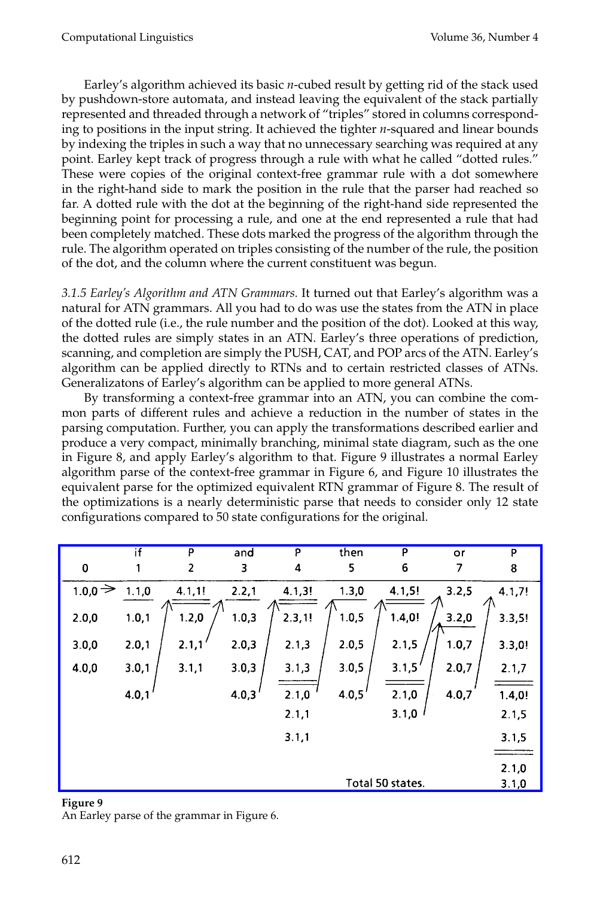Earley's algorithm achieved its basic *n*-cubed result by getting rid of the stack used by pushdown-store automata, and instead leaving the equivalent of the stack partially represented and threaded through a network of "triples" stored in columns corresponding to positions in the input string. It achieved the tighter *n*-squared and linear bounds by indexing the triples in such a way that no unnecessary searching was required at any point. Earley kept track of progress through a rule with what he called "dotted rules." These were copies of the original context-free grammar rule with a dot somewhere in the right-hand side to mark the position in the rule that the parser had reached so far. A dotted rule with the dot at the beginning of the right-hand side represented the beginning point for processing a rule, and one at the end represented a rule that had been completely matched. These dots marked the progress of the algorithm through the rule. The algorithm operated on triples consisting of the number of the rule, the position of the dot, and the column where the current constituent was begun.

*3.1.5 Earley's Algorithm and ATN Grammars.* It turned out that Earley's algorithm was a natural for ATN grammars. All you had to do was use the states from the ATN in place of the dotted rule (i.e., the rule number and the position of the dot). Looked at this way, the dotted rules are simply states in an ATN. Earley's three operations of prediction, scanning, and completion are simply the PUSH, CAT, and POP arcs of the ATN. Earley's algorithm can be applied directly to RTNs and to certain restricted classes of ATNs. Generalizatons of Earley's algorithm can be applied to more general ATNs.

By transforming a context-free grammar into an ATN, you can combine the common parts of different rules and achieve a reduction in the number of states in the parsing computation. Further, you can apply the transformations described earlier and produce a very compact, minimally branching, minimal state diagram, such as the one in Figure 8, and apply Earley's algorithm to that. Figure 9 illustrates a normal Earley algorithm parse of the context-free grammar in Figure 6, and Figure 10 illustrates the [equivalent parse for the optimized equivalent RTN grammar of Figure 8. The result of](http://www.mitpressjournals.org/action/showImage?doi=10.1162/coli_a_00018&iName=master.img-008.png&w=383&h=193) the optimizations is a nearly deterministic parse that needs to consider only 12 state configurations compared to 50 state configurations for the original.

|                          | if    | P                       | and   | P      | then   | P                | or    | p      |
|--------------------------|-------|-------------------------|-------|--------|--------|------------------|-------|--------|
| $\bf{0}$                 |       | $\overline{\mathbf{c}}$ | 3     | 4      | 5      | 6                | 7     | 8      |
| $_{1.0,0}$ $\Rightarrow$ | 1.1,0 | 4.1, 1!                 | 2.2,1 | 4.1,3! | 1.3,0  | 4.1,5!           | 3.2,5 | 4.1,7! |
| 2.0,0                    | 1.0,1 | 1.2,0                   | 1.0,3 | 2.3,1! | 1.0, 5 | 1.4,0!           | 3.2,0 | 3.3,5! |
| 3.0,0                    | 2.0,1 | 2.1,1                   | 2.0,3 | 2.1,3  | 2.0,5  | 2.1,5            | 1.0,7 | 3.3,0! |
| 4.0,0                    | 3.0,1 | 3.1,1                   | 3.0,3 | 3.1,3  | 3.0,5  | 3.1,5'           | 2.0,7 | 2.1,7  |
|                          | 4.0,1 |                         | 4.0,3 | 2.1,0  | 4.0,5' | 2.1,0            | 4.0,7 | 1.4,0! |
|                          |       |                         |       | 2.1,1  |        | 3.1,0            |       | 2.1,5  |
|                          |       |                         |       | 3.1,1  |        |                  |       | 3.1,5  |
|                          |       |                         |       |        |        |                  |       | 2.1,0  |
|                          |       |                         |       |        |        | Total 50 states. |       | 3.1,0  |

#### **Figure 9**

An Earley parse of the grammar in Figure 6.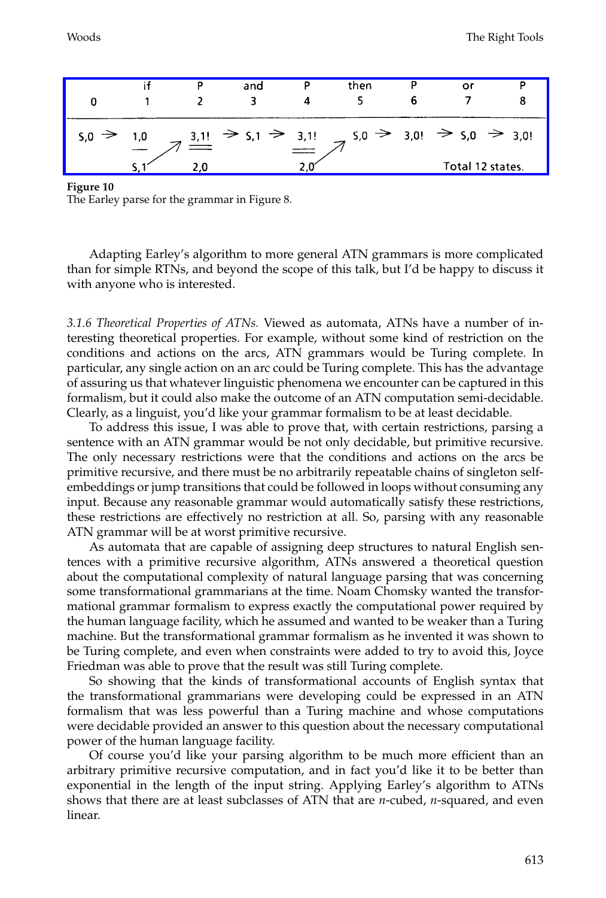|                   |     | P | and | then                                                                                                                            | οι               |  |
|-------------------|-----|---|-----|---------------------------------------------------------------------------------------------------------------------------------|------------------|--|
| $5,0 \Rightarrow$ | 1.0 |   |     | $\frac{3.1!}{7}$ $\Rightarrow$ 5.1 $\Rightarrow$ 3.1! $\Rightarrow$ 5.0 $\Rightarrow$ 3.0! $\Rightarrow$ 5.0 $\Rightarrow$ 3.0! |                  |  |
|                   |     |   |     |                                                                                                                                 | Total 12 states. |  |

**Figure 10**

The Earley parse for the grammar in Figure 8.

Adapting Earley's algorithm to more general ATN grammars is more complicated than for simple RTNs, and beyond the scope of this talk, but I'd be happy to discuss it with anyone who is interested.

*3.1.6 Theoretical Properties of ATNs.* Viewed as automata, ATNs have a number of interesting theoretical properties. For example, without some kind of restriction on the conditions and actions on the arcs, ATN grammars would be Turing complete. In particular, any single action on an arc could be Turing complete. This has the advantage of assuring us that whatever linguistic phenomena we encounter can be captured in this formalism, but it could also make the outcome of an ATN computation semi-decidable. Clearly, as a linguist, you'd like your grammar formalism to be at least decidable.

To address this issue, I was able to prove that, with certain restrictions, parsing a sentence with an ATN grammar would be not only decidable, but primitive recursive. The only necessary restrictions were that the conditions and actions on the arcs be primitive recursive, and there must be no arbitrarily repeatable chains of singleton selfembeddings or jump transitions that could be followed in loops without consuming any input. Because any reasonable grammar would automatically satisfy these restrictions, these restrictions are effectively no restriction at all. So, parsing with any reasonable ATN grammar will be at worst primitive recursive.

As automata that are capable of assigning deep structures to natural English sentences with a primitive recursive algorithm, ATNs answered a theoretical question about the computational complexity of natural language parsing that was concerning some transformational grammarians at the time. Noam Chomsky wanted the transformational grammar formalism to express exactly the computational power required by the human language facility, which he assumed and wanted to be weaker than a Turing machine. But the transformational grammar formalism as he invented it was shown to be Turing complete, and even when constraints were added to try to avoid this, Joyce Friedman was able to prove that the result was still Turing complete.

So showing that the kinds of transformational accounts of English syntax that the transformational grammarians were developing could be expressed in an ATN formalism that was less powerful than a Turing machine and whose computations were decidable provided an answer to this question about the necessary computational power of the human language facility.

Of course you'd like your parsing algorithm to be much more efficient than an arbitrary primitive recursive computation, and in fact you'd like it to be better than exponential in the length of the input string. Applying Earley's algorithm to ATNs shows that there are at least subclasses of ATN that are *n*-cubed, *n*-squared, and even linear.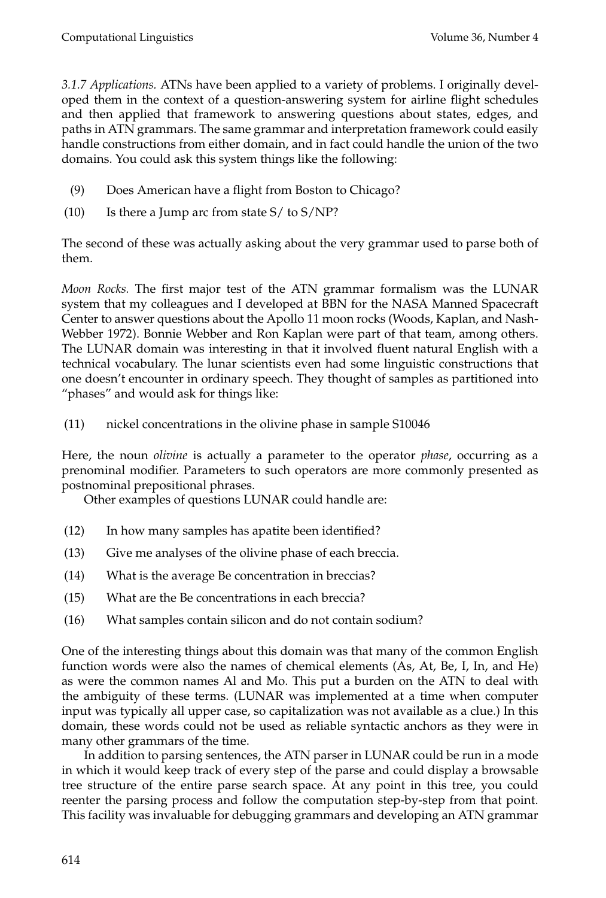*3.1.7 Applications.* ATNs have been applied to a variety of problems. I originally developed them in the context of a question-answering system for airline flight schedules and then applied that framework to answering questions about states, edges, and paths in ATN grammars. The same grammar and interpretation framework could easily handle constructions from either domain, and in fact could handle the union of the two domains. You could ask this system things like the following:

- (9) Does American have a flight from Boston to Chicago?
- (10) Is there a Jump arc from state  $S/$  to  $S/NP$ ?

The second of these was actually asking about the very grammar used to parse both of them.

*Moon Rocks.* The first major test of the ATN grammar formalism was the LUNAR system that my colleagues and I developed at BBN for the NASA Manned Spacecraft Center to answer questions about the Apollo 11 moon rocks (Woods, Kaplan, and Nash-Webber 1972). Bonnie Webber and Ron Kaplan were part of that team, among others. The LUNAR domain was interesting in that it involved fluent natural English with a technical vocabulary. The lunar scientists even had some linguistic constructions that one doesn't encounter in ordinary speech. They thought of samples as partitioned into "phases" and would ask for things like:

(11) nickel concentrations in the olivine phase in sample S10046

Here, the noun *olivine* is actually a parameter to the operator *phase*, occurring as a prenominal modifier. Parameters to such operators are more commonly presented as postnominal prepositional phrases.

Other examples of questions LUNAR could handle are:

- (12) In how many samples has apatite been identified?
- (13) Give me analyses of the olivine phase of each breccia.
- (14) What is the average Be concentration in breccias?
- (15) What are the Be concentrations in each breccia?
- (16) What samples contain silicon and do not contain sodium?

One of the interesting things about this domain was that many of the common English function words were also the names of chemical elements (As, At, Be, I, In, and He) as were the common names Al and Mo. This put a burden on the ATN to deal with the ambiguity of these terms. (LUNAR was implemented at a time when computer input was typically all upper case, so capitalization was not available as a clue.) In this domain, these words could not be used as reliable syntactic anchors as they were in many other grammars of the time.

In addition to parsing sentences, the ATN parser in LUNAR could be run in a mode in which it would keep track of every step of the parse and could display a browsable tree structure of the entire parse search space. At any point in this tree, you could reenter the parsing process and follow the computation step-by-step from that point. This facility was invaluable for debugging grammars and developing an ATN grammar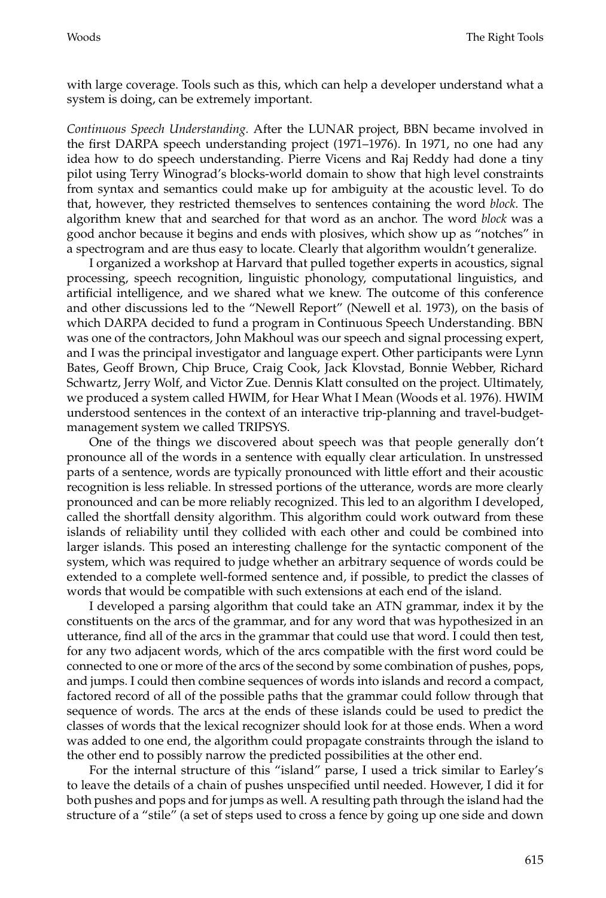with large coverage. Tools such as this, which can help a developer understand what a system is doing, can be extremely important.

*Continuous Speech Understanding.* After the LUNAR project, BBN became involved in the first DARPA speech understanding project (1971–1976). In 1971, no one had any idea how to do speech understanding. Pierre Vicens and Raj Reddy had done a tiny pilot using Terry Winograd's blocks-world domain to show that high level constraints from syntax and semantics could make up for ambiguity at the acoustic level. To do that, however, they restricted themselves to sentences containing the word *block*. The algorithm knew that and searched for that word as an anchor. The word *block* was a good anchor because it begins and ends with plosives, which show up as "notches" in a spectrogram and are thus easy to locate. Clearly that algorithm wouldn't generalize.

I organized a workshop at Harvard that pulled together experts in acoustics, signal processing, speech recognition, linguistic phonology, computational linguistics, and artificial intelligence, and we shared what we knew. The outcome of this conference and other discussions led to the "Newell Report" (Newell et al. 1973), on the basis of which DARPA decided to fund a program in Continuous Speech Understanding. BBN was one of the contractors, John Makhoul was our speech and signal processing expert, and I was the principal investigator and language expert. Other participants were Lynn Bates, Geoff Brown, Chip Bruce, Craig Cook, Jack Klovstad, Bonnie Webber, Richard Schwartz, Jerry Wolf, and Victor Zue. Dennis Klatt consulted on the project. Ultimately, we produced a system called HWIM, for Hear What I Mean (Woods et al. 1976). HWIM understood sentences in the context of an interactive trip-planning and travel-budgetmanagement system we called TRIPSYS.

One of the things we discovered about speech was that people generally don't pronounce all of the words in a sentence with equally clear articulation. In unstressed parts of a sentence, words are typically pronounced with little effort and their acoustic recognition is less reliable. In stressed portions of the utterance, words are more clearly pronounced and can be more reliably recognized. This led to an algorithm I developed, called the shortfall density algorithm. This algorithm could work outward from these islands of reliability until they collided with each other and could be combined into larger islands. This posed an interesting challenge for the syntactic component of the system, which was required to judge whether an arbitrary sequence of words could be extended to a complete well-formed sentence and, if possible, to predict the classes of words that would be compatible with such extensions at each end of the island.

I developed a parsing algorithm that could take an ATN grammar, index it by the constituents on the arcs of the grammar, and for any word that was hypothesized in an utterance, find all of the arcs in the grammar that could use that word. I could then test, for any two adjacent words, which of the arcs compatible with the first word could be connected to one or more of the arcs of the second by some combination of pushes, pops, and jumps. I could then combine sequences of words into islands and record a compact, factored record of all of the possible paths that the grammar could follow through that sequence of words. The arcs at the ends of these islands could be used to predict the classes of words that the lexical recognizer should look for at those ends. When a word was added to one end, the algorithm could propagate constraints through the island to the other end to possibly narrow the predicted possibilities at the other end.

For the internal structure of this "island" parse, I used a trick similar to Earley's to leave the details of a chain of pushes unspecified until needed. However, I did it for both pushes and pops and for jumps as well. A resulting path through the island had the structure of a "stile" (a set of steps used to cross a fence by going up one side and down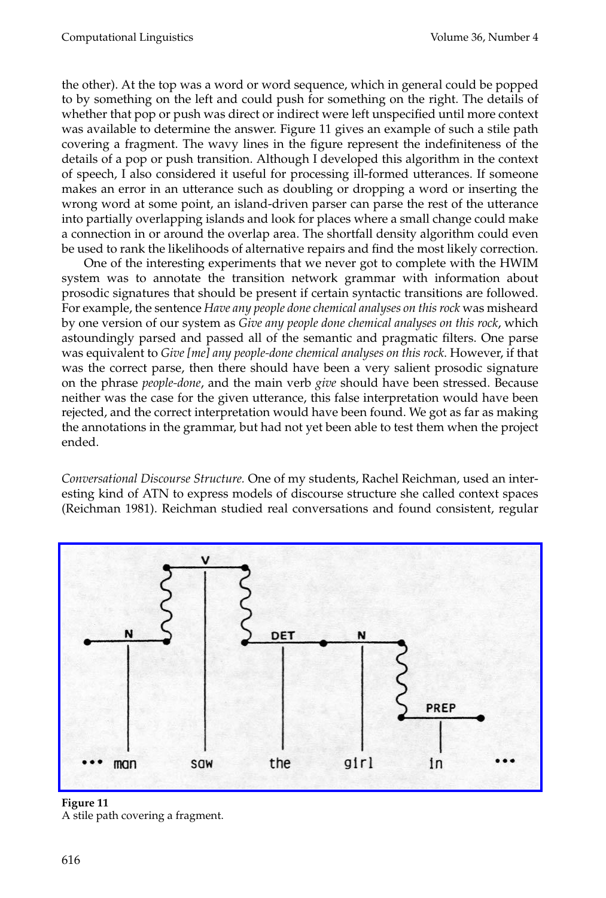the other). At the top was a word or word sequence, which in general could be popped to by something on the left and could push for something on the right. The details of whether that pop or push was direct or indirect were left unspecified until more context was available to determine the answer. Figure 11 gives an example of such a stile path covering a fragment. The wavy lines in the figure represent the indefiniteness of the details of a pop or push transition. Although I developed this algorithm in the context of speech, I also considered it useful for processing ill-formed utterances. If someone makes an error in an utterance such as doubling or dropping a word or inserting the wrong word at some point, an island-driven parser can parse the rest of the utterance into partially overlapping islands and look for places where a small change could make a connection in or around the overlap area. The shortfall density algorithm could even be used to rank the likelihoods of alternative repairs and find the most likely correction.

One of the interesting experiments that we never got to complete with the HWIM system was to annotate the transition network grammar with information about prosodic signatures that should be present if certain syntactic transitions are followed. For example, the sentence *Have any people done chemical analyses on this rock* was misheard by one version of our system as *Give any people done chemical analyses on this rock*, which astoundingly parsed and passed all of the semantic and pragmatic filters. One parse was equivalent to *Give [me] any people-done chemical analyses on this rock*. However, if that was the correct parse, then there should have been a very salient prosodic signature on the phrase *people-done*, and the main verb *give* should have been stressed. Because neither was the case for the given utterance, this false interpretation would have been rejected, and the correct interpretation would have been found. We got as far as making the annotations in the grammar, but had not yet been able to test them when the project ended.

*Conversational Discourse Structure.* One of my students, Rachel Reichman, used an interesting kind of ATN to express models of discourse structure she called context spaces [\(Reichman 1981\). Reichman studied real conversations and found consistent, regular](http://www.mitpressjournals.org/action/showImage?doi=10.1162/coli_a_00018&iName=master.img-010.jpg&w=383&h=194)



**Figure 11** A stile path covering a fragment.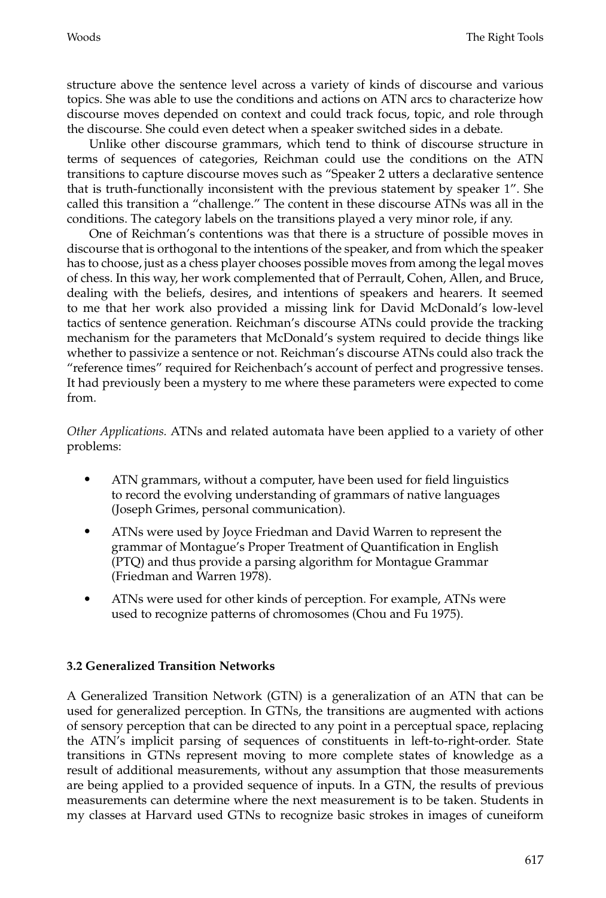structure above the sentence level across a variety of kinds of discourse and various topics. She was able to use the conditions and actions on ATN arcs to characterize how discourse moves depended on context and could track focus, topic, and role through the discourse. She could even detect when a speaker switched sides in a debate.

Unlike other discourse grammars, which tend to think of discourse structure in terms of sequences of categories, Reichman could use the conditions on the ATN transitions to capture discourse moves such as "Speaker 2 utters a declarative sentence that is truth-functionally inconsistent with the previous statement by speaker 1". She called this transition a "challenge." The content in these discourse ATNs was all in the conditions. The category labels on the transitions played a very minor role, if any.

One of Reichman's contentions was that there is a structure of possible moves in discourse that is orthogonal to the intentions of the speaker, and from which the speaker has to choose, just as a chess player chooses possible moves from among the legal moves of chess. In this way, her work complemented that of Perrault, Cohen, Allen, and Bruce, dealing with the beliefs, desires, and intentions of speakers and hearers. It seemed to me that her work also provided a missing link for David McDonald's low-level tactics of sentence generation. Reichman's discourse ATNs could provide the tracking mechanism for the parameters that McDonald's system required to decide things like whether to passivize a sentence or not. Reichman's discourse ATNs could also track the "reference times" required for Reichenbach's account of perfect and progressive tenses. It had previously been a mystery to me where these parameters were expected to come from.

*Other Applications.* ATNs and related automata have been applied to a variety of other problems:

- ATN grammars, without a computer, have been used for field linguistics to record the evolving understanding of grammars of native languages (Joseph Grimes, personal communication).
- ATNs were used by Joyce Friedman and David Warren to represent the grammar of Montague's Proper Treatment of Quantification in English (PTQ) and thus provide a parsing algorithm for Montague Grammar (Friedman and Warren 1978).
- ATNs were used for other kinds of perception. For example, ATNs were used to recognize patterns of chromosomes (Chou and Fu 1975).

# **3.2Generalized Transition Networks**

A Generalized Transition Network (GTN) is a generalization of an ATN that can be used for generalized perception. In GTNs, the transitions are augmented with actions of sensory perception that can be directed to any point in a perceptual space, replacing the ATN's implicit parsing of sequences of constituents in left-to-right-order. State transitions in GTNs represent moving to more complete states of knowledge as a result of additional measurements, without any assumption that those measurements are being applied to a provided sequence of inputs. In a GTN, the results of previous measurements can determine where the next measurement is to be taken. Students in my classes at Harvard used GTNs to recognize basic strokes in images of cuneiform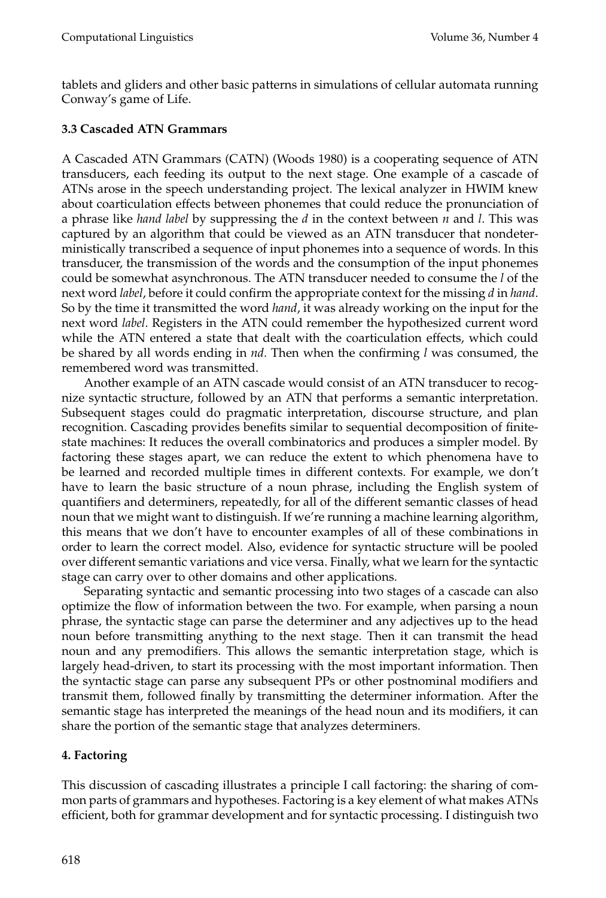tablets and gliders and other basic patterns in simulations of cellular automata running Conway's game of Life.

# **3.3 Cascaded ATN Grammars**

A Cascaded ATN Grammars (CATN) (Woods 1980) is a cooperating sequence of ATN transducers, each feeding its output to the next stage. One example of a cascade of ATNs arose in the speech understanding project. The lexical analyzer in HWIM knew about coarticulation effects between phonemes that could reduce the pronunciation of a phrase like *hand label* by suppressing the *d* in the context between *n* and *l*. This was captured by an algorithm that could be viewed as an ATN transducer that nondeterministically transcribed a sequence of input phonemes into a sequence of words. In this transducer, the transmission of the words and the consumption of the input phonemes could be somewhat asynchronous. The ATN transducer needed to consume the *l* of the next word *label*, before it could confirm the appropriate context for the missing *d* in *hand*. So by the time it transmitted the word *hand*, it was already working on the input for the next word *label*. Registers in the ATN could remember the hypothesized current word while the ATN entered a state that dealt with the coarticulation effects, which could be shared by all words ending in *nd*. Then when the confirming *l* was consumed, the remembered word was transmitted.

Another example of an ATN cascade would consist of an ATN transducer to recognize syntactic structure, followed by an ATN that performs a semantic interpretation. Subsequent stages could do pragmatic interpretation, discourse structure, and plan recognition. Cascading provides benefits similar to sequential decomposition of finitestate machines: It reduces the overall combinatorics and produces a simpler model. By factoring these stages apart, we can reduce the extent to which phenomena have to be learned and recorded multiple times in different contexts. For example, we don't have to learn the basic structure of a noun phrase, including the English system of quantifiers and determiners, repeatedly, for all of the different semantic classes of head noun that we might want to distinguish. If we're running a machine learning algorithm, this means that we don't have to encounter examples of all of these combinations in order to learn the correct model. Also, evidence for syntactic structure will be pooled over different semantic variations and vice versa. Finally, what we learn for the syntactic stage can carry over to other domains and other applications.

Separating syntactic and semantic processing into two stages of a cascade can also optimize the flow of information between the two. For example, when parsing a noun phrase, the syntactic stage can parse the determiner and any adjectives up to the head noun before transmitting anything to the next stage. Then it can transmit the head noun and any premodifiers. This allows the semantic interpretation stage, which is largely head-driven, to start its processing with the most important information. Then the syntactic stage can parse any subsequent PPs or other postnominal modifiers and transmit them, followed finally by transmitting the determiner information. After the semantic stage has interpreted the meanings of the head noun and its modifiers, it can share the portion of the semantic stage that analyzes determiners.

# **4. Factoring**

This discussion of cascading illustrates a principle I call factoring: the sharing of common parts of grammars and hypotheses. Factoring is a key element of what makes ATNs efficient, both for grammar development and for syntactic processing. I distinguish two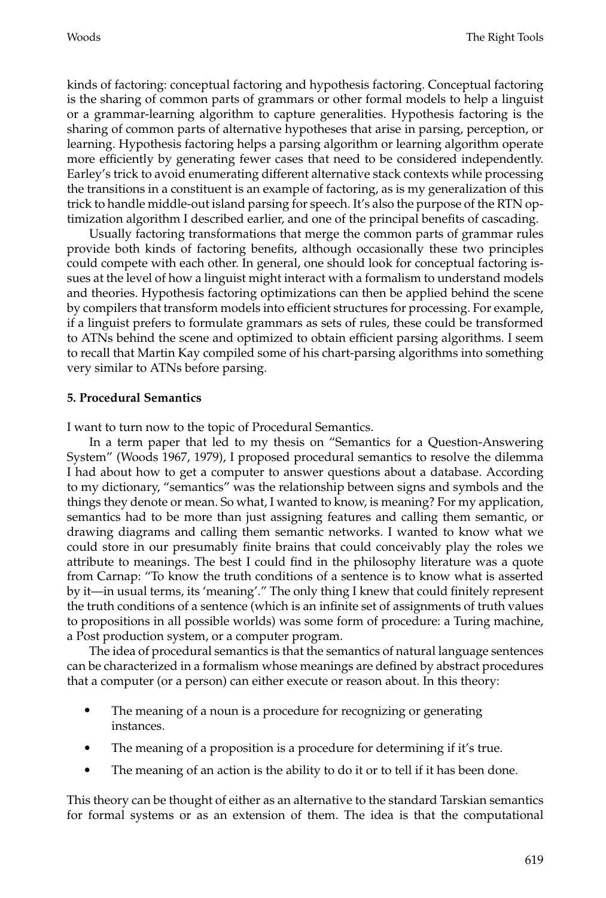kinds of factoring: conceptual factoring and hypothesis factoring. Conceptual factoring is the sharing of common parts of grammars or other formal models to help a linguist or a grammar-learning algorithm to capture generalities. Hypothesis factoring is the sharing of common parts of alternative hypotheses that arise in parsing, perception, or learning. Hypothesis factoring helps a parsing algorithm or learning algorithm operate more efficiently by generating fewer cases that need to be considered independently. Earley's trick to avoid enumerating different alternative stack contexts while processing the transitions in a constituent is an example of factoring, as is my generalization of this trick to handle middle-out island parsing for speech. It's also the purpose of the RTN optimization algorithm I described earlier, and one of the principal benefits of cascading.

Usually factoring transformations that merge the common parts of grammar rules provide both kinds of factoring benefits, although occasionally these two principles could compete with each other. In general, one should look for conceptual factoring issues at the level of how a linguist might interact with a formalism to understand models and theories. Hypothesis factoring optimizations can then be applied behind the scene by compilers that transform models into efficient structures for processing. For example, if a linguist prefers to formulate grammars as sets of rules, these could be transformed to ATNs behind the scene and optimized to obtain efficient parsing algorithms. I seem to recall that Martin Kay compiled some of his chart-parsing algorithms into something very similar to ATNs before parsing.

#### **5. Procedural Semantics**

I want to turn now to the topic of Procedural Semantics.

In a term paper that led to my thesis on "Semantics for a Question-Answering System" (Woods 1967, 1979), I proposed procedural semantics to resolve the dilemma I had about how to get a computer to answer questions about a database. According to my dictionary, "semantics" was the relationship between signs and symbols and the things they denote or mean. So what, I wanted to know, is meaning? For my application, semantics had to be more than just assigning features and calling them semantic, or drawing diagrams and calling them semantic networks. I wanted to know what we could store in our presumably finite brains that could conceivably play the roles we attribute to meanings. The best I could find in the philosophy literature was a quote from Carnap: "To know the truth conditions of a sentence is to know what is asserted by it—in usual terms, its 'meaning'." The only thing I knew that could finitely represent the truth conditions of a sentence (which is an infinite set of assignments of truth values to propositions in all possible worlds) was some form of procedure: a Turing machine, a Post production system, or a computer program.

The idea of procedural semantics is that the semantics of natural language sentences can be characterized in a formalism whose meanings are defined by abstract procedures that a computer (or a person) can either execute or reason about. In this theory:

- The meaning of a noun is a procedure for recognizing or generating instances.
- The meaning of a proposition is a procedure for determining if it's true.
- The meaning of an action is the ability to do it or to tell if it has been done.

This theory can be thought of either as an alternative to the standard Tarskian semantics for formal systems or as an extension of them. The idea is that the computational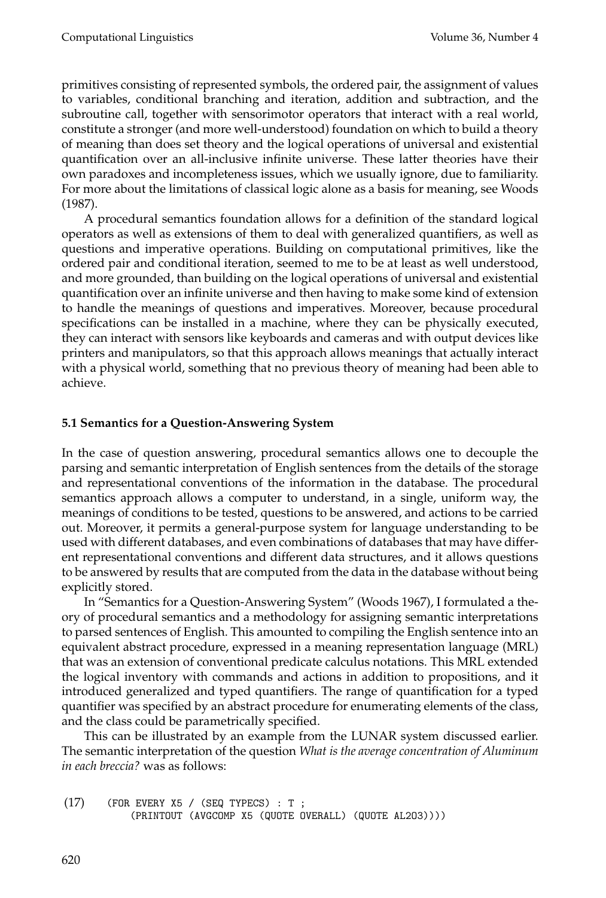primitives consisting of represented symbols, the ordered pair, the assignment of values to variables, conditional branching and iteration, addition and subtraction, and the subroutine call, together with sensorimotor operators that interact with a real world, constitute a stronger (and more well-understood) foundation on which to build a theory of meaning than does set theory and the logical operations of universal and existential quantification over an all-inclusive infinite universe. These latter theories have their own paradoxes and incompleteness issues, which we usually ignore, due to familiarity. For more about the limitations of classical logic alone as a basis for meaning, see Woods (1987).

A procedural semantics foundation allows for a definition of the standard logical operators as well as extensions of them to deal with generalized quantifiers, as well as questions and imperative operations. Building on computational primitives, like the ordered pair and conditional iteration, seemed to me to be at least as well understood, and more grounded, than building on the logical operations of universal and existential quantification over an infinite universe and then having to make some kind of extension to handle the meanings of questions and imperatives. Moreover, because procedural specifications can be installed in a machine, where they can be physically executed, they can interact with sensors like keyboards and cameras and with output devices like printers and manipulators, so that this approach allows meanings that actually interact with a physical world, something that no previous theory of meaning had been able to achieve.

# **5.1 Semantics for a Question-Answering System**

In the case of question answering, procedural semantics allows one to decouple the parsing and semantic interpretation of English sentences from the details of the storage and representational conventions of the information in the database. The procedural semantics approach allows a computer to understand, in a single, uniform way, the meanings of conditions to be tested, questions to be answered, and actions to be carried out. Moreover, it permits a general-purpose system for language understanding to be used with different databases, and even combinations of databases that may have different representational conventions and different data structures, and it allows questions to be answered by results that are computed from the data in the database without being explicitly stored.

In "Semantics for a Question-Answering System" (Woods 1967), I formulated a theory of procedural semantics and a methodology for assigning semantic interpretations to parsed sentences of English. This amounted to compiling the English sentence into an equivalent abstract procedure, expressed in a meaning representation language (MRL) that was an extension of conventional predicate calculus notations. This MRL extended the logical inventory with commands and actions in addition to propositions, and it introduced generalized and typed quantifiers. The range of quantification for a typed quantifier was specified by an abstract procedure for enumerating elements of the class, and the class could be parametrically specified.

This can be illustrated by an example from the LUNAR system discussed earlier. The semantic interpretation of the question *What is the average concentration of Aluminum in each breccia?* was as follows:

```
(17) (FOR EVERY X5 / (SEQ TYPECS): T;
(PRINTOUT (AVGCOMP X5 (QUOTE OVERALL) (QUOTE AL2O3))))
```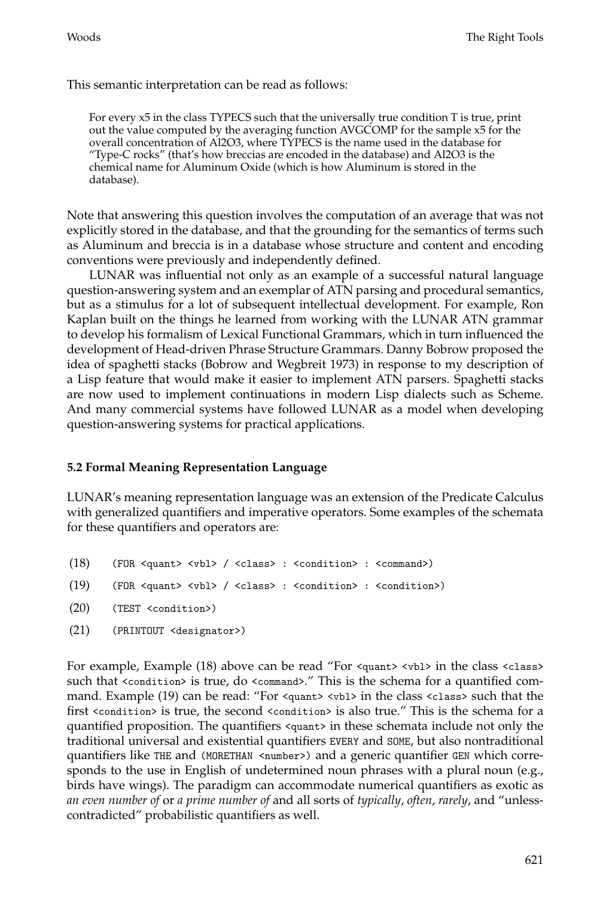#### This semantic interpretation can be read as follows:

For every x5 in the class TYPECS such that the universally true condition T is true, print out the value computed by the averaging function AVGCOMP for the sample x5 for the overall concentration of Al2O3, where TYPECS is the name used in the database for "Type-C rocks" (that's how breccias are encoded in the database) and Al2O3 is the chemical name for Aluminum Oxide (which is how Aluminum is stored in the database).

Note that answering this question involves the computation of an average that was not explicitly stored in the database, and that the grounding for the semantics of terms such as Aluminum and breccia is in a database whose structure and content and encoding conventions were previously and independently defined.

LUNAR was influential not only as an example of a successful natural language question-answering system and an exemplar of ATN parsing and procedural semantics, but as a stimulus for a lot of subsequent intellectual development. For example, Ron Kaplan built on the things he learned from working with the LUNAR ATN grammar to develop his formalism of Lexical Functional Grammars, which in turn influenced the development of Head-driven Phrase Structure Grammars. Danny Bobrow proposed the idea of spaghetti stacks (Bobrow and Wegbreit 1973) in response to my description of a Lisp feature that would make it easier to implement ATN parsers. Spaghetti stacks are now used to implement continuations in modern Lisp dialects such as Scheme. And many commercial systems have followed LUNAR as a model when developing question-answering systems for practical applications.

#### **5.2Formal Meaning Representation Language**

LUNAR's meaning representation language was an extension of the Predicate Calculus with generalized quantifiers and imperative operators. Some examples of the schemata for these quantifiers and operators are:

- (18) (FOR <quant> <vbl> / <class> : <condition> : <command>)
- (19) (FOR <quant> <vbl> / <class> : <condition> : <condition>)
- (20) (TEST <condition>)
- (21) (PRINTOUT <designator>)

For example, Example (18) above can be read "For <quant> <vb1> in the class <class> such that <condition> is true, do <command>." This is the schema for a quantified command. Example (19) can be read: "For <quant> <vbl> in the class <class> such that the first <condition> is true, the second <condition> is also true." This is the schema for a quantified proposition. The quantifiers <quant> in these schemata include not only the traditional universal and existential quantifiers EVERY and SOME, but also nontraditional quantifiers like THE and (MORETHAN <number>) and a generic quantifier GEN which corresponds to the use in English of undetermined noun phrases with a plural noun (e.g., birds have wings). The paradigm can accommodate numerical quantifiers as exotic as *an even number of* or *a prime number of* and all sorts of *typically*, *often*, *rarely*, and "unlesscontradicted" probabilistic quantifiers as well.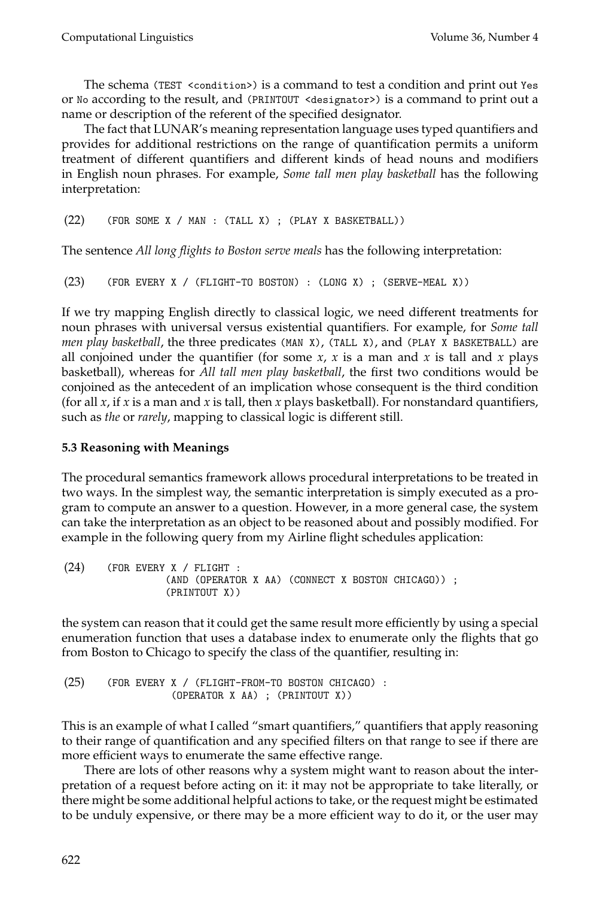The schema (TEST <condition>) is a command to test a condition and print out Yes or No according to the result, and (PRINTOUT <designator>) is a command to print out a name or description of the referent of the specified designator.

The fact that LUNAR's meaning representation language uses typed quantifiers and provides for additional restrictions on the range of quantification permits a uniform treatment of different quantifiers and different kinds of head nouns and modifiers in English noun phrases. For example, *Some tall men play basketball* has the following interpretation:

(22) (FOR SOME X / MAN : (TALL X) ;(PLAY X BASKETBALL))

The sentence *All long flights to Boston serve meals* has the following interpretation:

```
(23) (FOR EVERY X / (FLIGHT-TO BOSTON) : (LONG X) ;(SERVE-MEAL X))
```
If we try mapping English directly to classical logic, we need different treatments for noun phrases with universal versus existential quantifiers. For example, for *Some tall men play basketball*, the three predicates (MAN X), (TALL X), and (PLAY X BASKETBALL) are all conjoined under the quantifier (for some  $x$ ,  $x$  is a man and  $x$  is tall and  $x$  plays basketball), whereas for *All tall men play basketball*, the first two conditions would be conjoined as the antecedent of an implication whose consequent is the third condition (for all *x*, if *x* is a man and *x* is tall, then *x* plays basketball). For nonstandard quantifiers, such as *the* or *rarely*, mapping to classical logic is different still.

#### **5.3 Reasoning with Meanings**

The procedural semantics framework allows procedural interpretations to be treated in two ways. In the simplest way, the semantic interpretation is simply executed as a program to compute an answer to a question. However, in a more general case, the system can take the interpretation as an object to be reasoned about and possibly modified. For example in the following query from my Airline flight schedules application:

```
(24) (FOR EVERY X / FLIGHT :
      (AND (OPERATOR X AA) (CONNECT X BOSTON CHICAGO)) ;
      (PRINTOUT X))
```
the system can reason that it could get the same result more efficiently by using a special enumeration function that uses a database index to enumerate only the flights that go from Boston to Chicago to specify the class of the quantifier, resulting in:

```
(25) (FOR EVERY X / (FLIGHT-FROM-TO BOSTON CHICAGO) :
       (OPERATOR X AA) ;(PRINTOUT X))
```
This is an example of what I called "smart quantifiers," quantifiers that apply reasoning to their range of quantification and any specified filters on that range to see if there are more efficient ways to enumerate the same effective range.

There are lots of other reasons why a system might want to reason about the interpretation of a request before acting on it: it may not be appropriate to take literally, or there might be some additional helpful actions to take, or the request might be estimated to be unduly expensive, or there may be a more efficient way to do it, or the user may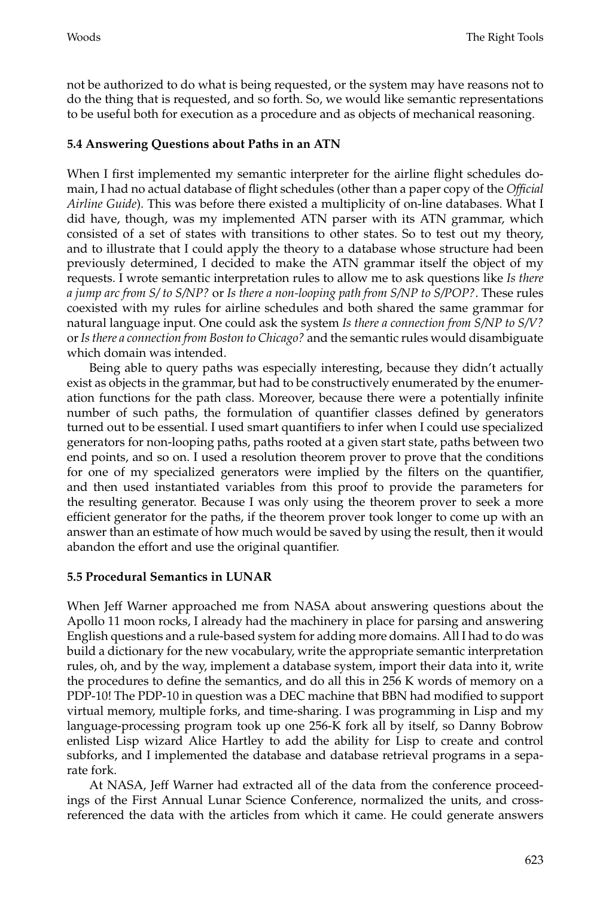not be authorized to do what is being requested, or the system may have reasons not to do the thing that is requested, and so forth. So, we would like semantic representations to be useful both for execution as a procedure and as objects of mechanical reasoning.

# **5.4 Answering Questions about Paths in an ATN**

When I first implemented my semantic interpreter for the airline flight schedules domain, I had no actual database of flight schedules (other than a paper copy of the *Official Airline Guide*). This was before there existed a multiplicity of on-line databases. What I did have, though, was my implemented ATN parser with its ATN grammar, which consisted of a set of states with transitions to other states. So to test out my theory, and to illustrate that I could apply the theory to a database whose structure had been previously determined, I decided to make the ATN grammar itself the object of my requests. I wrote semantic interpretation rules to allow me to ask questions like *Is there a jump arc from S/ to S/NP?* or *Is there a non-looping path from S/NP to S/POP?*. These rules coexisted with my rules for airline schedules and both shared the same grammar for natural language input. One could ask the system *Is there a connection from S/NP to S/V?* or*Is there a connection from Boston to Chicago?* and the semantic rules would disambiguate which domain was intended.

Being able to query paths was especially interesting, because they didn't actually exist as objects in the grammar, but had to be constructively enumerated by the enumeration functions for the path class. Moreover, because there were a potentially infinite number of such paths, the formulation of quantifier classes defined by generators turned out to be essential. I used smart quantifiers to infer when I could use specialized generators for non-looping paths, paths rooted at a given start state, paths between two end points, and so on. I used a resolution theorem prover to prove that the conditions for one of my specialized generators were implied by the filters on the quantifier, and then used instantiated variables from this proof to provide the parameters for the resulting generator. Because I was only using the theorem prover to seek a more efficient generator for the paths, if the theorem prover took longer to come up with an answer than an estimate of how much would be saved by using the result, then it would abandon the effort and use the original quantifier.

# **5.5 Procedural Semantics in LUNAR**

When Jeff Warner approached me from NASA about answering questions about the Apollo 11 moon rocks, I already had the machinery in place for parsing and answering English questions and a rule-based system for adding more domains. All I had to do was build a dictionary for the new vocabulary, write the appropriate semantic interpretation rules, oh, and by the way, implement a database system, import their data into it, write the procedures to define the semantics, and do all this in 256 K words of memory on a PDP-10! The PDP-10 in question was a DEC machine that BBN had modified to support virtual memory, multiple forks, and time-sharing. I was programming in Lisp and my language-processing program took up one 256-K fork all by itself, so Danny Bobrow enlisted Lisp wizard Alice Hartley to add the ability for Lisp to create and control subforks, and I implemented the database and database retrieval programs in a separate fork.

At NASA, Jeff Warner had extracted all of the data from the conference proceedings of the First Annual Lunar Science Conference, normalized the units, and crossreferenced the data with the articles from which it came. He could generate answers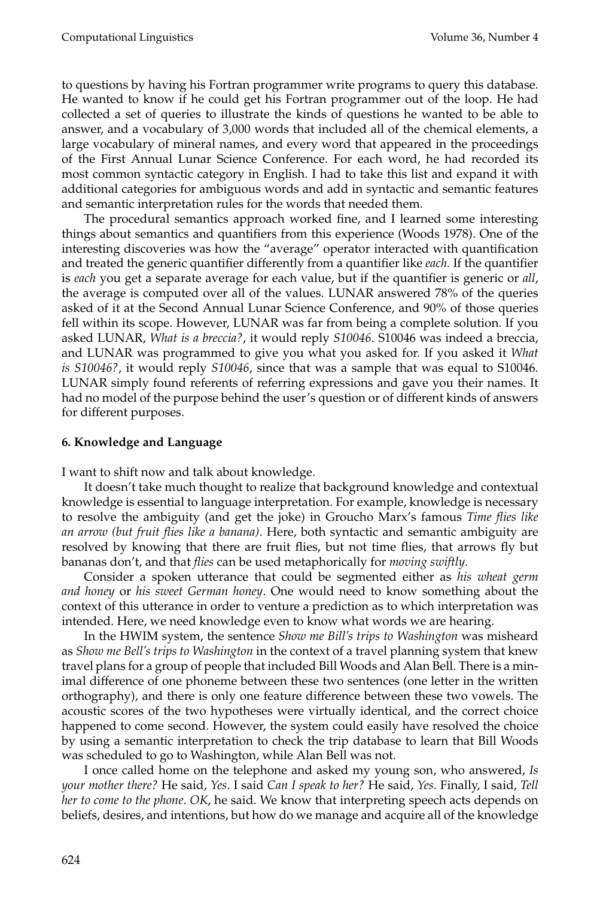to questions by having his Fortran programmer write programs to query this database. He wanted to know if he could get his Fortran programmer out of the loop. He had collected a set of queries to illustrate the kinds of questions he wanted to be able to answer, and a vocabulary of 3,000 words that included all of the chemical elements, a large vocabulary of mineral names, and every word that appeared in the proceedings of the First Annual Lunar Science Conference. For each word, he had recorded its most common syntactic category in English. I had to take this list and expand it with additional categories for ambiguous words and add in syntactic and semantic features and semantic interpretation rules for the words that needed them.

The procedural semantics approach worked fine, and I learned some interesting things about semantics and quantifiers from this experience (Woods 1978). One of the interesting discoveries was how the "average" operator interacted with quantification and treated the generic quantifier differently from a quantifier like *each.* If the quantifier is *each* you get a separate average for each value, but if the quantifier is generic or *all*, the average is computed over all of the values. LUNAR answered 78% of the queries asked of it at the Second Annual Lunar Science Conference, and 90% of those queries fell within its scope. However, LUNAR was far from being a complete solution. If you asked LUNAR, *What is a breccia?*, it would reply *S10046*. S10046 was indeed a breccia, and LUNAR was programmed to give you what you asked for. If you asked it *What is S10046?*, it would reply *S10046*, since that was a sample that was equal to S10046. LUNAR simply found referents of referring expressions and gave you their names. It had no model of the purpose behind the user's question or of different kinds of answers for different purposes.

## **6. Knowledge and Language**

I want to shift now and talk about knowledge.

It doesn't take much thought to realize that background knowledge and contextual knowledge is essential to language interpretation. For example, knowledge is necessary to resolve the ambiguity (and get the joke) in Groucho Marx's famous *Time flies like an arrow(but fruit flies like a banana)*. Here, both syntactic and semantic ambiguity are resolved by knowing that there are fruit flies, but not time flies, that arrows fly but bananas don't, and that *flies* can be used metaphorically for *moving swiftly*.

Consider a spoken utterance that could be segmented either as *his wheat germ and honey* or *his sweet German honey*. One would need to know something about the context of this utterance in order to venture a prediction as to which interpretation was intended. Here, we need knowledge even to know what words we are hearing.

In the HWIM system, the sentence *Showme Bill's trips to Washington* was misheard as *Showme Bell's trips to Washington* in the context of a travel planning system that knew travel plans for a group of people that included Bill Woods and Alan Bell. There is a minimal difference of one phoneme between these two sentences (one letter in the written orthography), and there is only one feature difference between these two vowels. The acoustic scores of the two hypotheses were virtually identical, and the correct choice happened to come second. However, the system could easily have resolved the choice by using a semantic interpretation to check the trip database to learn that Bill Woods was scheduled to go to Washington, while Alan Bell was not.

I once called home on the telephone and asked my young son, who answered, *Is your mother there?* He said, *Yes*. I said *Can I speak to her?* He said, *Yes*. Finally, I said, *Tell her to come to the phone*. *OK*, he said. We know that interpreting speech acts depends on beliefs, desires, and intentions, but how do we manage and acquire all of the knowledge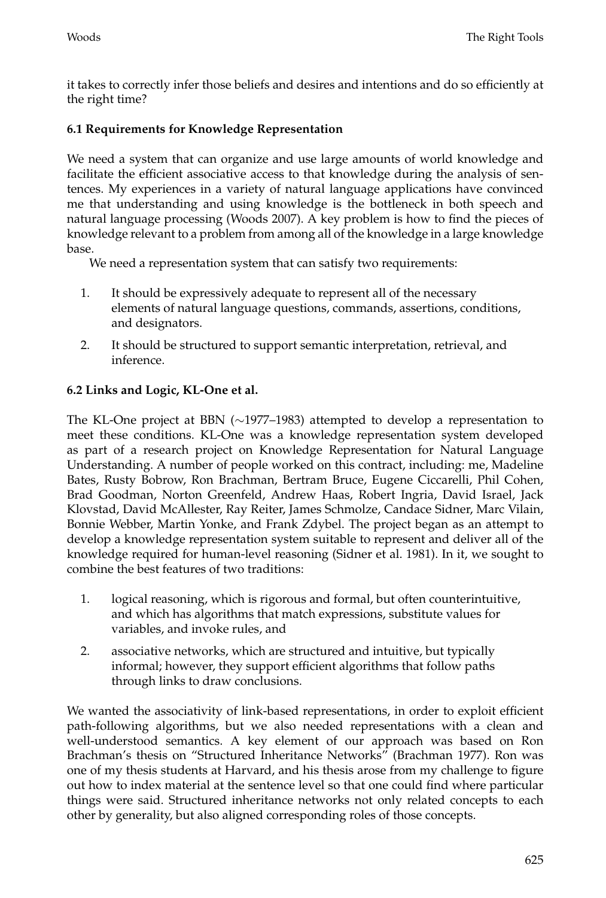it takes to correctly infer those beliefs and desires and intentions and do so efficiently at the right time?

# **6.1 Requirements for Knowledge Representation**

We need a system that can organize and use large amounts of world knowledge and facilitate the efficient associative access to that knowledge during the analysis of sentences. My experiences in a variety of natural language applications have convinced me that understanding and using knowledge is the bottleneck in both speech and natural language processing (Woods 2007). A key problem is how to find the pieces of knowledge relevant to a problem from among all of the knowledge in a large knowledge base.

We need a representation system that can satisfy two requirements:

- 1. It should be expressively adequate to represent all of the necessary elements of natural language questions, commands, assertions, conditions, and designators.
- 2. It should be structured to support semantic interpretation, retrieval, and inference.

# **6.2Links and Logic, KL-One et al.**

The KL-One project at BBN (∼1977–1983) attempted to develop a representation to meet these conditions. KL-One was a knowledge representation system developed as part of a research project on Knowledge Representation for Natural Language Understanding. A number of people worked on this contract, including: me, Madeline Bates, Rusty Bobrow, Ron Brachman, Bertram Bruce, Eugene Ciccarelli, Phil Cohen, Brad Goodman, Norton Greenfeld, Andrew Haas, Robert Ingria, David Israel, Jack Klovstad, David McAllester, Ray Reiter, James Schmolze, Candace Sidner, Marc Vilain, Bonnie Webber, Martin Yonke, and Frank Zdybel. The project began as an attempt to develop a knowledge representation system suitable to represent and deliver all of the knowledge required for human-level reasoning (Sidner et al. 1981). In it, we sought to combine the best features of two traditions:

- 1. logical reasoning, which is rigorous and formal, but often counterintuitive, and which has algorithms that match expressions, substitute values for variables, and invoke rules, and
- 2. associative networks, which are structured and intuitive, but typically informal; however, they support efficient algorithms that follow paths through links to draw conclusions.

We wanted the associativity of link-based representations, in order to exploit efficient path-following algorithms, but we also needed representations with a clean and well-understood semantics. A key element of our approach was based on Ron Brachman's thesis on "Structured Inheritance Networks" (Brachman 1977). Ron was one of my thesis students at Harvard, and his thesis arose from my challenge to figure out how to index material at the sentence level so that one could find where particular things were said. Structured inheritance networks not only related concepts to each other by generality, but also aligned corresponding roles of those concepts.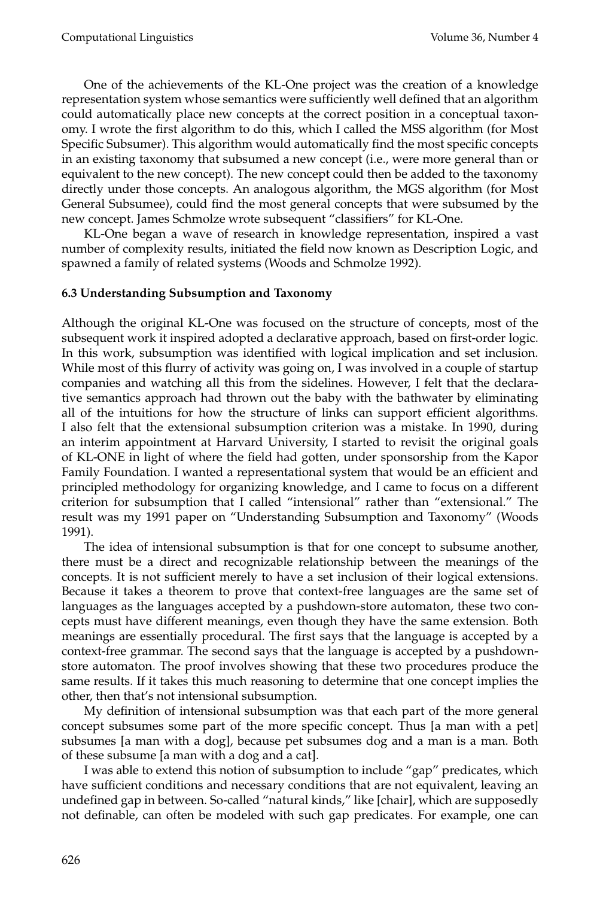One of the achievements of the KL-One project was the creation of a knowledge representation system whose semantics were sufficiently well defined that an algorithm could automatically place new concepts at the correct position in a conceptual taxonomy. I wrote the first algorithm to do this, which I called the MSS algorithm (for Most Specific Subsumer). This algorithm would automatically find the most specific concepts in an existing taxonomy that subsumed a new concept (i.e., were more general than or equivalent to the new concept). The new concept could then be added to the taxonomy directly under those concepts. An analogous algorithm, the MGS algorithm (for Most General Subsumee), could find the most general concepts that were subsumed by the new concept. James Schmolze wrote subsequent "classifiers" for KL-One.

KL-One began a wave of research in knowledge representation, inspired a vast number of complexity results, initiated the field now known as Description Logic, and spawned a family of related systems (Woods and Schmolze 1992).

## **6.3 Understanding Subsumption and Taxonomy**

Although the original KL-One was focused on the structure of concepts, most of the subsequent work it inspired adopted a declarative approach, based on first-order logic. In this work, subsumption was identified with logical implication and set inclusion. While most of this flurry of activity was going on, I was involved in a couple of startup companies and watching all this from the sidelines. However, I felt that the declarative semantics approach had thrown out the baby with the bathwater by eliminating all of the intuitions for how the structure of links can support efficient algorithms. I also felt that the extensional subsumption criterion was a mistake. In 1990, during an interim appointment at Harvard University, I started to revisit the original goals of KL-ONE in light of where the field had gotten, under sponsorship from the Kapor Family Foundation. I wanted a representational system that would be an efficient and principled methodology for organizing knowledge, and I came to focus on a different criterion for subsumption that I called "intensional" rather than "extensional." The result was my 1991 paper on "Understanding Subsumption and Taxonomy" (Woods 1991).

The idea of intensional subsumption is that for one concept to subsume another, there must be a direct and recognizable relationship between the meanings of the concepts. It is not sufficient merely to have a set inclusion of their logical extensions. Because it takes a theorem to prove that context-free languages are the same set of languages as the languages accepted by a pushdown-store automaton, these two concepts must have different meanings, even though they have the same extension. Both meanings are essentially procedural. The first says that the language is accepted by a context-free grammar. The second says that the language is accepted by a pushdownstore automaton. The proof involves showing that these two procedures produce the same results. If it takes this much reasoning to determine that one concept implies the other, then that's not intensional subsumption.

My definition of intensional subsumption was that each part of the more general concept subsumes some part of the more specific concept. Thus [a man with a pet] subsumes [a man with a dog], because pet subsumes dog and a man is a man. Both of these subsume [a man with a dog and a cat].

I was able to extend this notion of subsumption to include "gap" predicates, which have sufficient conditions and necessary conditions that are not equivalent, leaving an undefined gap in between. So-called "natural kinds," like [chair], which are supposedly not definable, can often be modeled with such gap predicates. For example, one can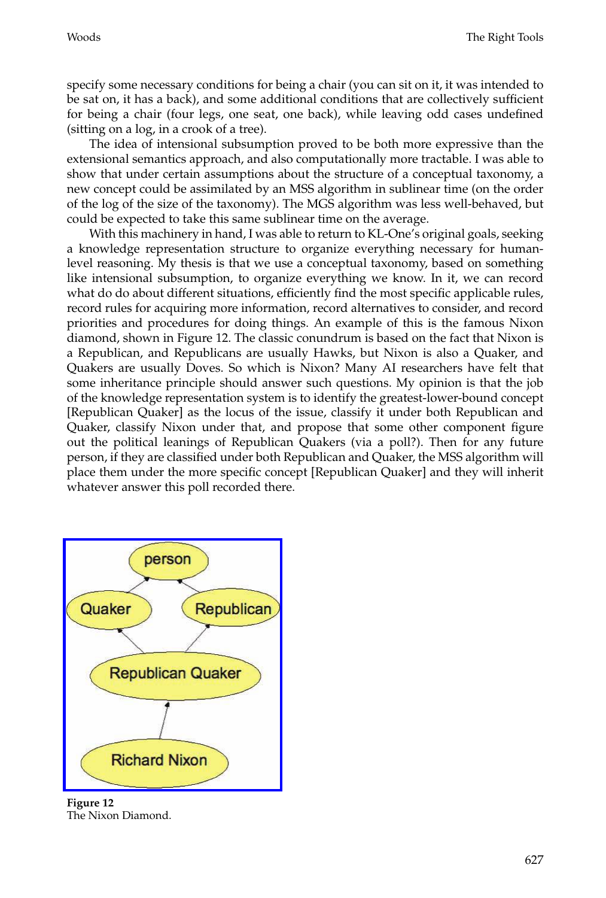specify some necessary conditions for being a chair (you can sit on it, it was intended to be sat on, it has a back), and some additional conditions that are collectively sufficient for being a chair (four legs, one seat, one back), while leaving odd cases undefined (sitting on a log, in a crook of a tree).

The idea of intensional subsumption proved to be both more expressive than the extensional semantics approach, and also computationally more tractable. I was able to show that under certain assumptions about the structure of a conceptual taxonomy, a new concept could be assimilated by an MSS algorithm in sublinear time (on the order of the log of the size of the taxonomy). The MGS algorithm was less well-behaved, but could be expected to take this same sublinear time on the average.

With this machinery in hand, I was able to return to KL-One's original goals, seeking a knowledge representation structure to organize everything necessary for humanlevel reasoning. My thesis is that we use a conceptual taxonomy, based on something like intensional subsumption, to organize everything we know. In it, we can record what do do about different situations, efficiently find the most specific applicable rules, record rules for acquiring more information, record alternatives to consider, and record priorities and procedures for doing things. An example of this is the famous Nixon diamond, shown in Figure 12. The classic conundrum is based on the fact that Nixon is a Republican, and Republicans are usually Hawks, but Nixon is also a Quaker, and Quakers are usually Doves. So which is Nixon? Many AI researchers have felt that some inheritance principle should answer such questions. My opinion is that the job of the knowledge representation system is to identify the greatest-lower-bound concept [Republican Quaker] as the locus of the issue, classify it under both Republican and Quaker, classify Nixon under that, and propose that some other component figure out the political leanings of Republican Quakers (via a poll?). Then for any future person, if they are classified under both Republican and Quaker, the MSS algorithm will place them under the more specific concept [Republican Quaker] and they will inherit [whatever answer this poll recorded the](http://www.mitpressjournals.org/action/showImage?doi=10.1162/coli_a_00018&iName=master.img-011.jpg&w=170&h=197)re.



**Figure 12** The Nixon Diamond.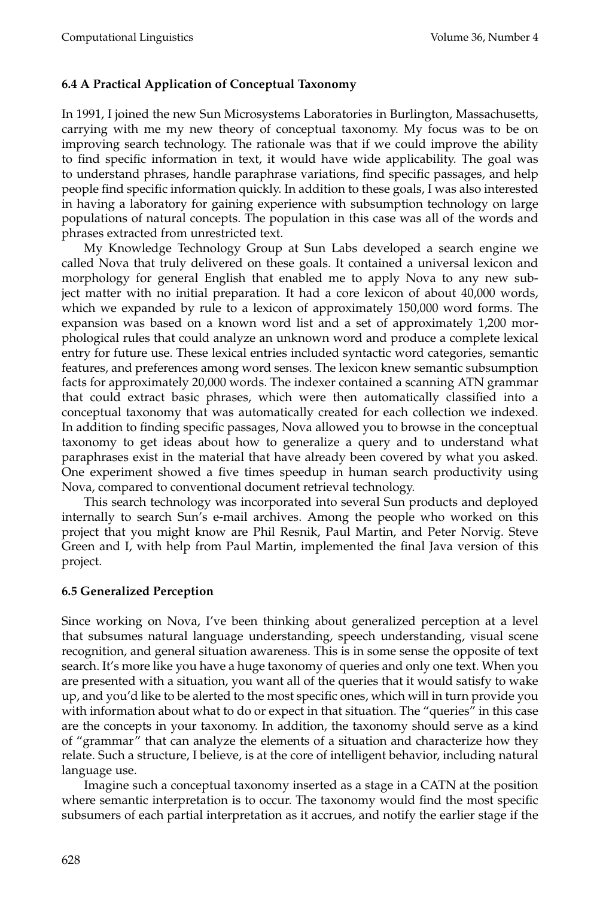# **6.4 A Practical Application of Conceptual Taxonomy**

In 1991, I joined the new Sun Microsystems Laboratories in Burlington, Massachusetts, carrying with me my new theory of conceptual taxonomy. My focus was to be on improving search technology. The rationale was that if we could improve the ability to find specific information in text, it would have wide applicability. The goal was to understand phrases, handle paraphrase variations, find specific passages, and help people find specific information quickly. In addition to these goals, I was also interested in having a laboratory for gaining experience with subsumption technology on large populations of natural concepts. The population in this case was all of the words and phrases extracted from unrestricted text.

My Knowledge Technology Group at Sun Labs developed a search engine we called Nova that truly delivered on these goals. It contained a universal lexicon and morphology for general English that enabled me to apply Nova to any new subject matter with no initial preparation. It had a core lexicon of about 40,000 words, which we expanded by rule to a lexicon of approximately 150,000 word forms. The expansion was based on a known word list and a set of approximately 1,200 morphological rules that could analyze an unknown word and produce a complete lexical entry for future use. These lexical entries included syntactic word categories, semantic features, and preferences among word senses. The lexicon knew semantic subsumption facts for approximately 20,000 words. The indexer contained a scanning ATN grammar that could extract basic phrases, which were then automatically classified into a conceptual taxonomy that was automatically created for each collection we indexed. In addition to finding specific passages, Nova allowed you to browse in the conceptual taxonomy to get ideas about how to generalize a query and to understand what paraphrases exist in the material that have already been covered by what you asked. One experiment showed a five times speedup in human search productivity using Nova, compared to conventional document retrieval technology.

This search technology was incorporated into several Sun products and deployed internally to search Sun's e-mail archives. Among the people who worked on this project that you might know are Phil Resnik, Paul Martin, and Peter Norvig. Steve Green and I, with help from Paul Martin, implemented the final Java version of this project.

# **6.5 Generalized Perception**

Since working on Nova, I've been thinking about generalized perception at a level that subsumes natural language understanding, speech understanding, visual scene recognition, and general situation awareness. This is in some sense the opposite of text search. It's more like you have a huge taxonomy of queries and only one text. When you are presented with a situation, you want all of the queries that it would satisfy to wake up, and you'd like to be alerted to the most specific ones, which will in turn provide you with information about what to do or expect in that situation. The "queries" in this case are the concepts in your taxonomy. In addition, the taxonomy should serve as a kind of "grammar" that can analyze the elements of a situation and characterize how they relate. Such a structure, I believe, is at the core of intelligent behavior, including natural language use.

Imagine such a conceptual taxonomy inserted as a stage in a CATN at the position where semantic interpretation is to occur. The taxonomy would find the most specific subsumers of each partial interpretation as it accrues, and notify the earlier stage if the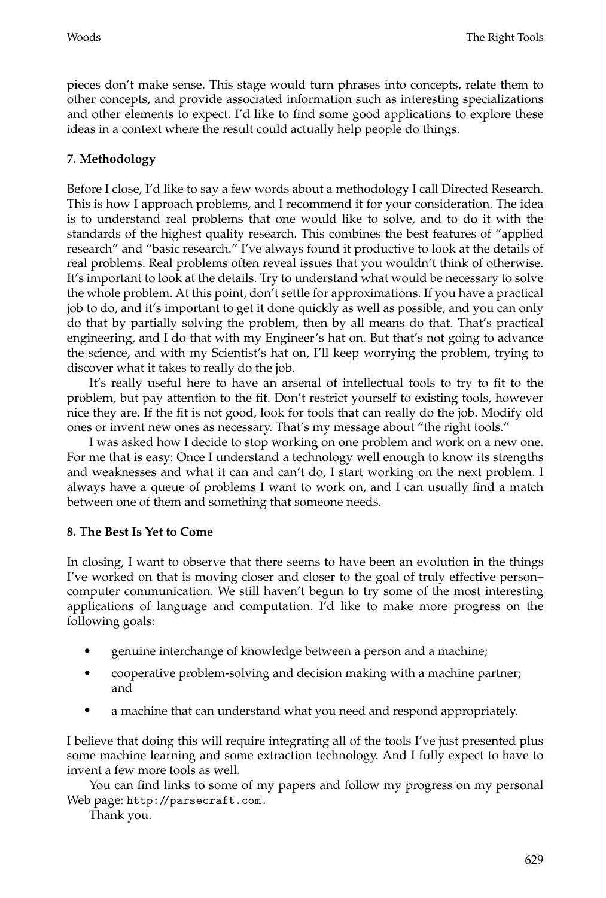pieces don't make sense. This stage would turn phrases into concepts, relate them to other concepts, and provide associated information such as interesting specializations and other elements to expect. I'd like to find some good applications to explore these ideas in a context where the result could actually help people do things.

# **7. Methodology**

Before I close, I'd like to say a few words about a methodology I call Directed Research. This is how I approach problems, and I recommend it for your consideration. The idea is to understand real problems that one would like to solve, and to do it with the standards of the highest quality research. This combines the best features of "applied research" and "basic research." I've always found it productive to look at the details of real problems. Real problems often reveal issues that you wouldn't think of otherwise. It's important to look at the details. Try to understand what would be necessary to solve the whole problem. At this point, don't settle for approximations. If you have a practical job to do, and it's important to get it done quickly as well as possible, and you can only do that by partially solving the problem, then by all means do that. That's practical engineering, and I do that with my Engineer's hat on. But that's not going to advance the science, and with my Scientist's hat on, I'll keep worrying the problem, trying to discover what it takes to really do the job.

It's really useful here to have an arsenal of intellectual tools to try to fit to the problem, but pay attention to the fit. Don't restrict yourself to existing tools, however nice they are. If the fit is not good, look for tools that can really do the job. Modify old ones or invent new ones as necessary. That's my message about "the right tools."

I was asked how I decide to stop working on one problem and work on a new one. For me that is easy: Once I understand a technology well enough to know its strengths and weaknesses and what it can and can't do, I start working on the next problem. I always have a queue of problems I want to work on, and I can usually find a match between one of them and something that someone needs.

# **8. The Best Is Yet to Come**

In closing, I want to observe that there seems to have been an evolution in the things I've worked on that is moving closer and closer to the goal of truly effective person– computer communication. We still haven't begun to try some of the most interesting applications of language and computation. I'd like to make more progress on the following goals:

- genuine interchange of knowledge between a person and a machine;
- cooperative problem-solving and decision making with a machine partner; and
- a machine that can understand what you need and respond appropriately.

I believe that doing this will require integrating all of the tools I've just presented plus some machine learning and some extraction technology. And I fully expect to have to invent a few more tools as well.

You can find links to some of my papers and follow my progress on my personal Web page: http://parsecraft.com.

Thank you.